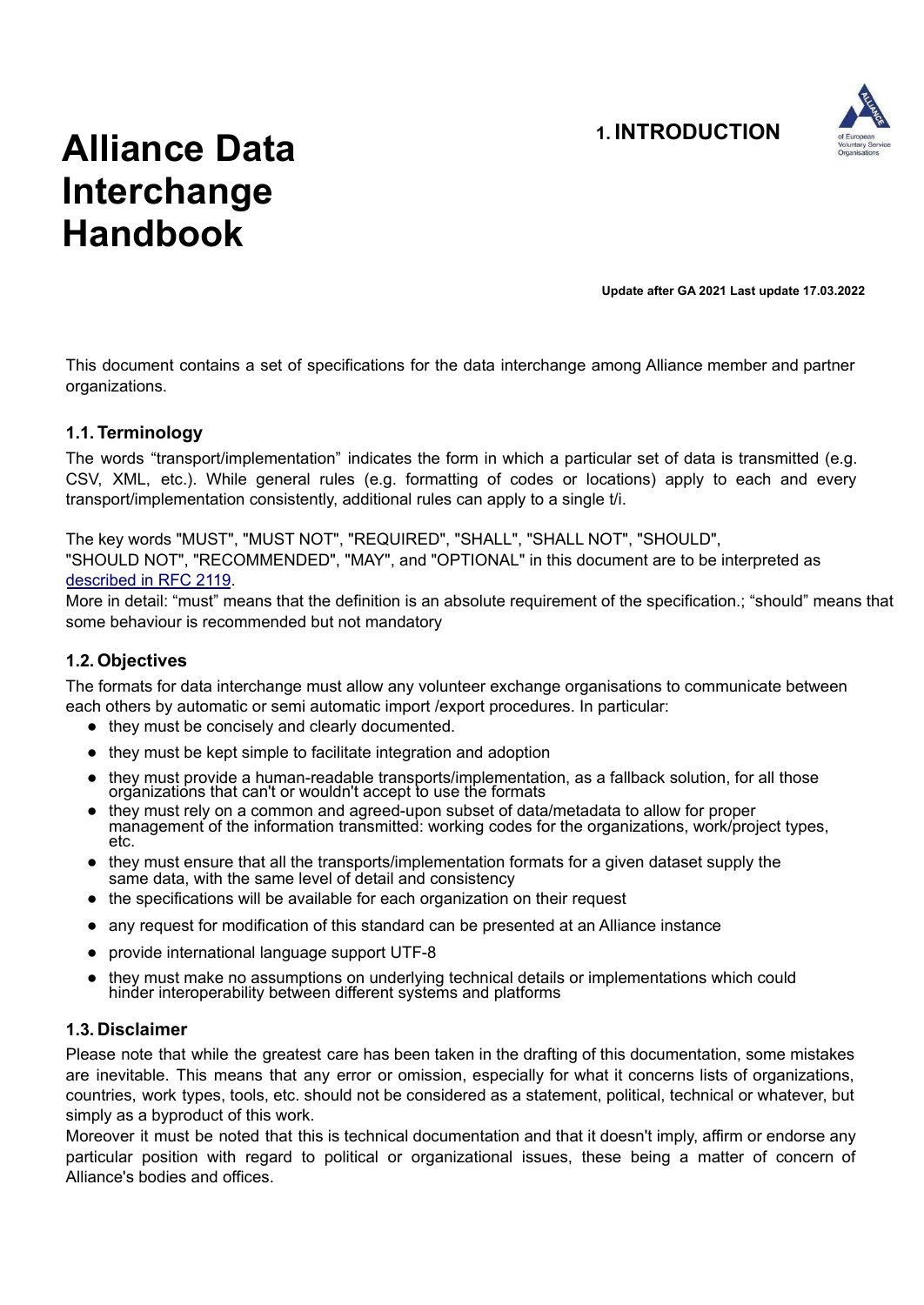

# **Alliance Data Interchange Handbook**

**Update after GA 2021 Last update 17.03.2022**

This document contains a set of specifications for the data interchange among Alliance member and partner organizations.

#### **1.1. Terminology**

The words "transport/implementation" indicates the form in which a particular set of data is transmitted (e.g. CSV, XML, etc.). While general rules (e.g. formatting of codes or locations) apply to each and every transport/implementation consistently, additional rules can apply to a single t/i.

The key words "MUST", "MUST NOT", "REQUIRED", "SHALL", "SHALL NOT", "SHOULD", "SHOULD NOT", "RECOMMENDED", "MAY", and "OPTIONAL" in this document are to be interpreted as

#### described in RFC 2119.

More in detail: "must" means that the definition is an absolute requirement of the specification.; "should" means that some behaviour is recommended but not mandatory

#### **1.2. Objectives**

The formats for data interchange must allow any volunteer exchange organisations to communicate between each others by automatic or semi automatic import /export procedures. In particular:

- they must be concisely and clearly documented.
- they must be kept simple to facilitate integration and adoption
- they must provide a human-readable transports/implementation, as a fallback solution, for all those organizations that can't or wouldn't accept to use the formats
- they must rely on a common and agreed-upon subset of data/metadata to allow for proper management of the information transmitted: working codes for the organizations, work/project types, etc.
- they must ensure that all the transports/implementation formats for a given dataset supply the same data, with the same level of detail and consistency
- the specifications will be available for each organization on their request
- any request for modification of this standard can be presented at an Alliance instance
- provide international language support UTF-8
- they must make no assumptions on underlying technical details or implementations which could hinder interoperability between different systems and platforms

#### **1.3. Disclaimer**

Please note that while the greatest care has been taken in the drafting of this documentation, some mistakes are inevitable. This means that any error or omission, especially for what it concerns lists of organizations, countries, work types, tools, etc. should not be considered as a statement, political, technical or whatever, but simply as a byproduct of this work.

Moreover it must be noted that this is technical documentation and that it doesn't imply, affirm or endorse any particular position with regard to political or organizational issues, these being a matter of concern of Alliance's bodies and offices.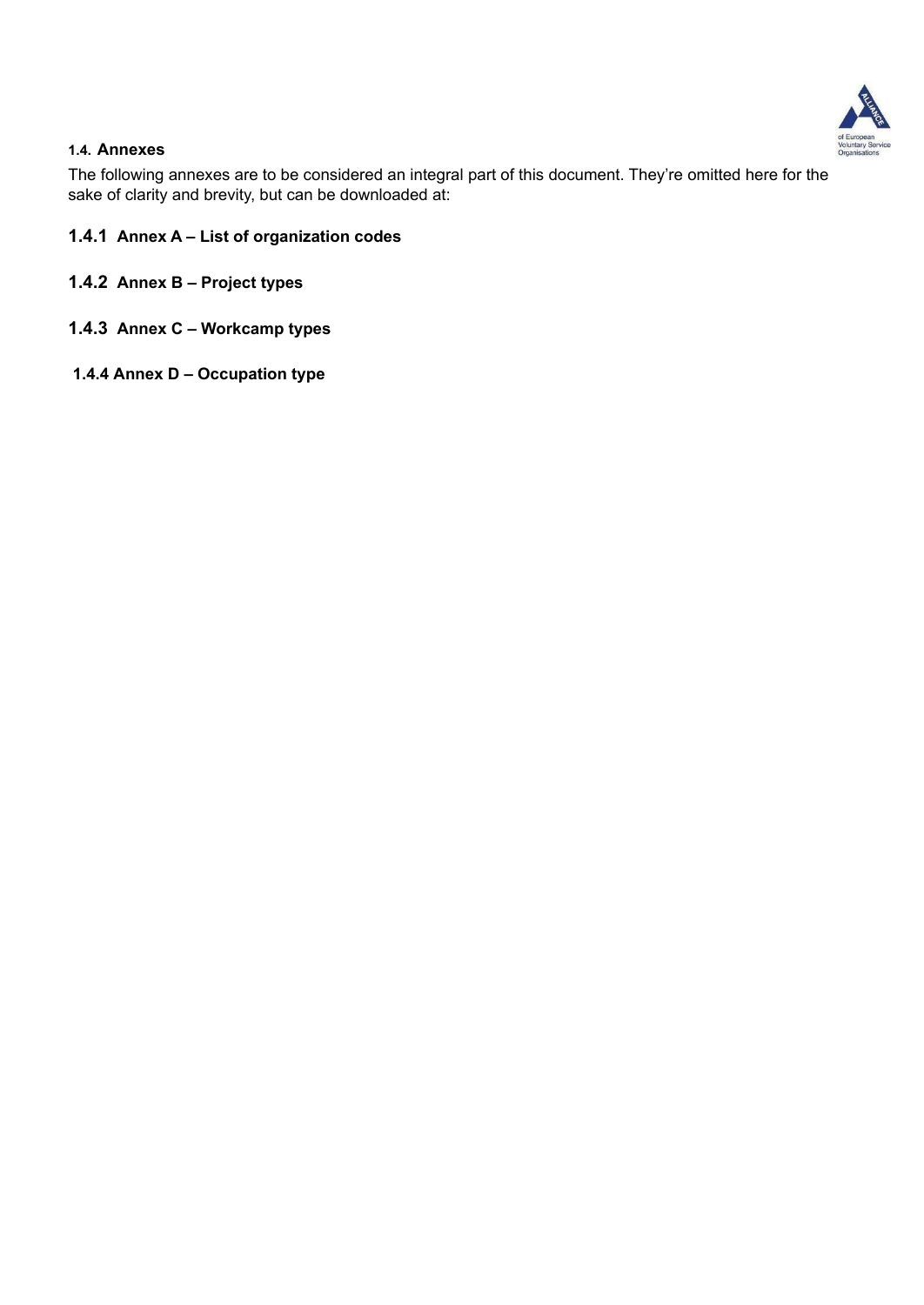

#### **1.4. Annexes**

The following annexes are to be considered an integral part of this document. They're omitted here for the sake of clarity and brevity, but can be downloaded at:

- **1.4.1 Annex A List of organization codes**
- **1.4.2 Annex B Project types**
- **1.4.3 Annex C Workcamp types**
- **1.4.4 Annex D Occupation type**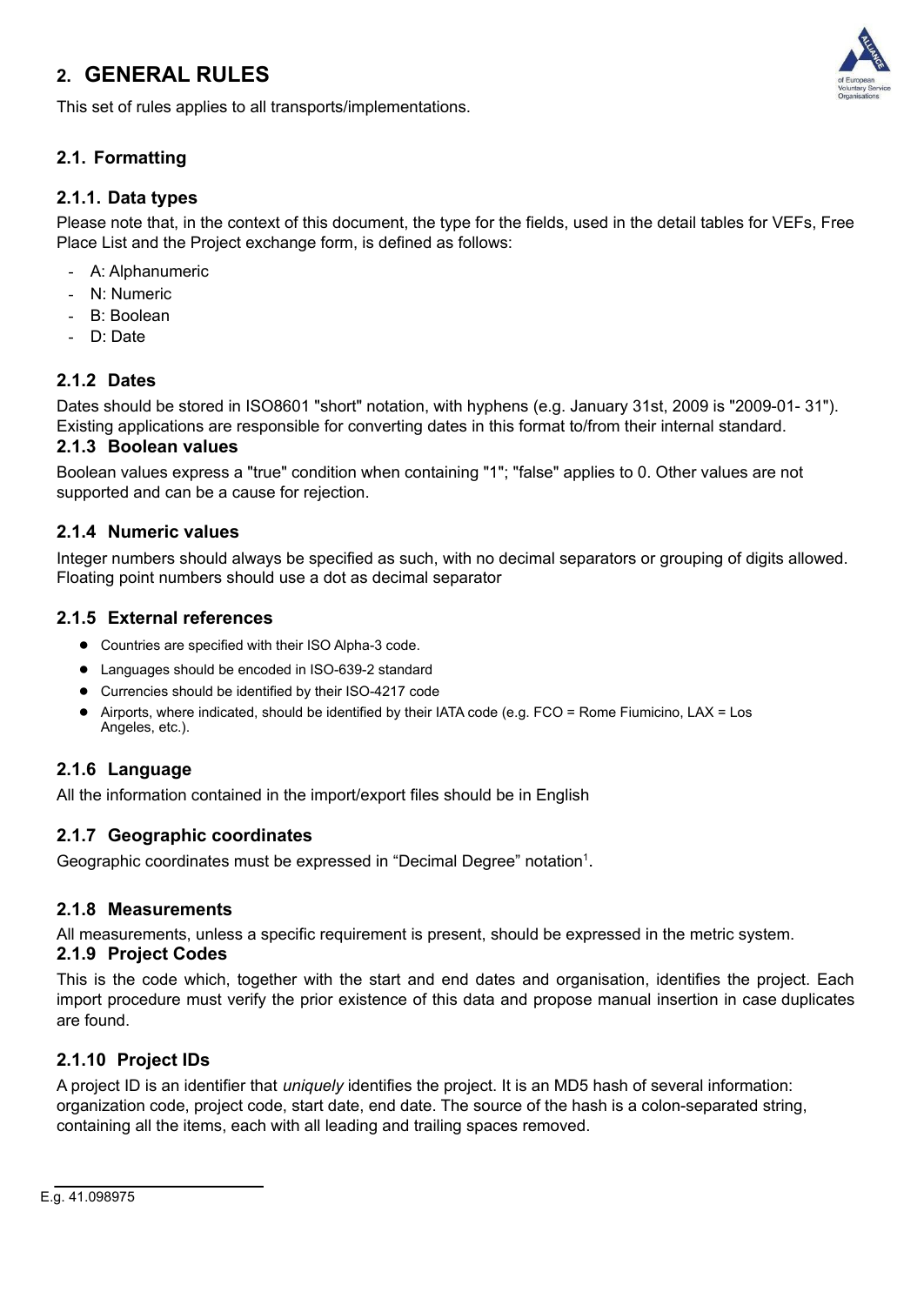### **2. GENERAL RULES**



This set of rules applies to all transports/implementations.

### **2.1. Formatting**

#### **2.1.1. Data types**

Please note that, in the context of this document, the type for the fields, used in the detail tables for VEFs, Free Place List and the Project exchange form, is defined as follows:

- A: Alphanumeric
- N: Numeric
- B: Boolean
- D: Date

#### **2.1.2 Dates**

Dates should be stored in ISO8601 "short" notation, with hyphens (e.g. January 31st, 2009 is "2009-01- 31"). Existing applications are responsible for converting dates in this format to/from their internal standard.

#### **2.1.3 Boolean values**

Boolean values express a "true" condition when containing "1"; "false" applies to 0. Other values are not supported and can be a cause for rejection.

#### **2.1.4 Numeric values**

Integer numbers should always be specified as such, with no decimal separators or grouping of digits allowed. Floating point numbers should use a dot as decimal separator

#### **2.1.5 External references**

- Countries are specified with their ISO Alpha-3 code.
- Languages should be encoded in ISO-639-2 standard
- Currencies should be identified by their ISO-4217 code
- Airports, where indicated, should be identified by their IATA code (e.g.  $FCO =$  Rome Fiumicino, LAX = Los Angeles, etc.).

#### **2.1.6 Language**

All the information contained in the import/export files should be in English

#### **2.1.7 Geographic coordinates**

Geographic coordinates must be expressed in "Decimal Degree" notation<sup>[1](#page-2-0)</sup>.

#### **2.1.8 Measurements**

All measurements, unless a specific requirement is present, should be expressed in the metric system.

#### **2.1.9 Project Codes**

This is the code which, together with the start and end dates and organisation, identifies the project. Each import procedure must verify the prior existence of this data and propose manual insertion in case duplicates are found.

#### **2.1.10 Project IDs**

<span id="page-2-0"></span>A project ID is an identifier that *uniquely* identifies the project. It is an MD5 hash of several information: organization code, project code, start date, end date. The source of the hash is a colon-separated string, containing all the items, each with all leading and trailing spaces removed.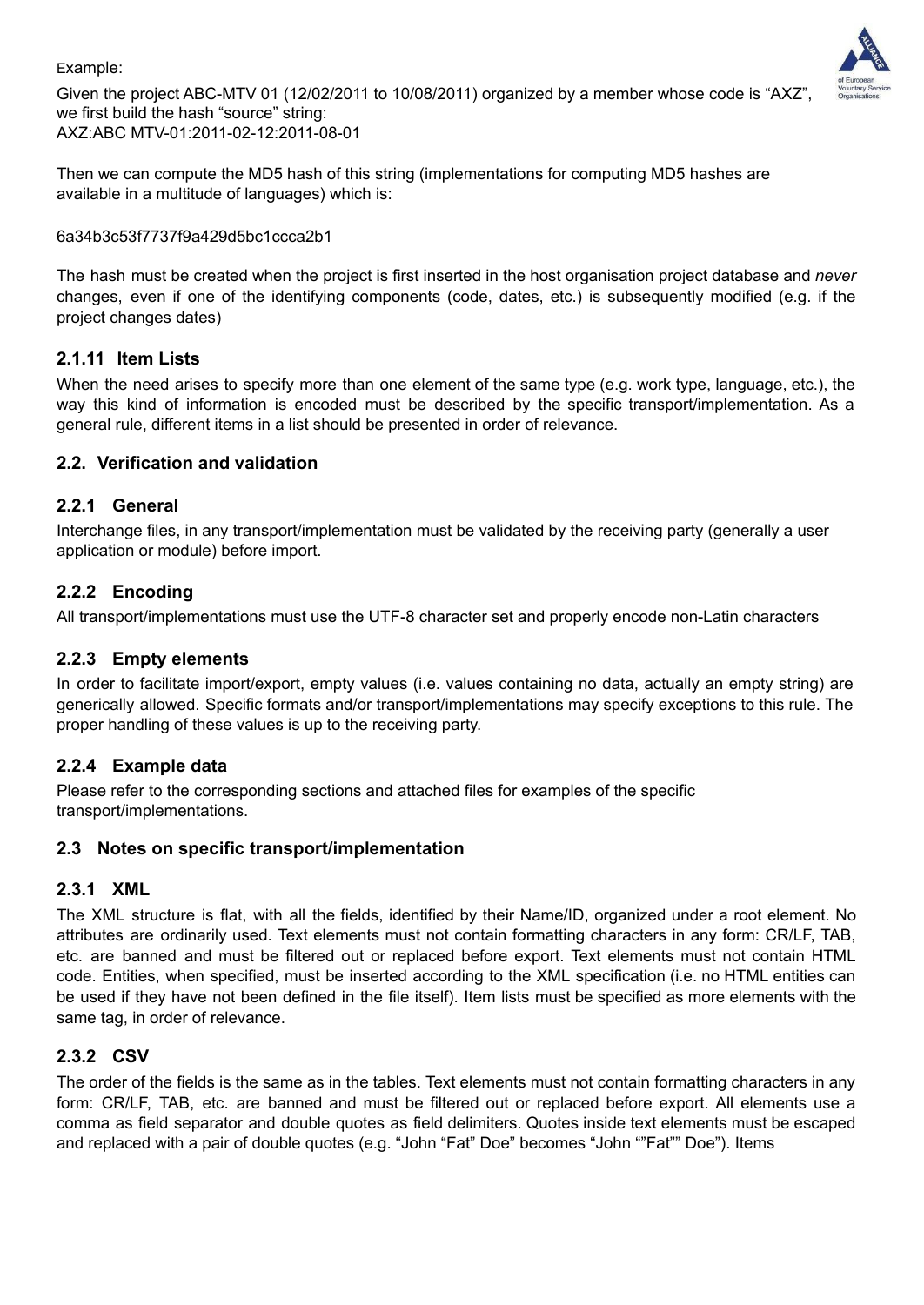#### Example:



Given the project ABC-MTV 01 (12/02/2011 to 10/08/2011) organized by a member whose code is "AXZ", we first build the hash "source" string: AXZ:ABC MTV-01:2011-02-12:2011-08-01

Then we can compute the MD5 hash of this string (implementations for computing MD5 hashes are available in a multitude of languages) which is:

#### 6a34b3c53f7737f9a429d5bc1ccca2b1

The hash must be created when the project is first inserted in the host organisation project database and *never* changes, even if one of the identifying components (code, dates, etc.) is subsequently modified (e.g. if the project changes dates)

#### **2.1.11 Item Lists**

When the need arises to specify more than one element of the same type (e.g. work type, language, etc.), the way this kind of information is encoded must be described by the specific transport/implementation. As a general rule, different items in a list should be presented in order of relevance.

#### **2.2. Verification and validation**

#### **2.2.1 General**

Interchange files, in any transport/implementation must be validated by the receiving party (generally a user application or module) before import.

#### **2.2.2 Encoding**

All transport/implementations must use the UTF-8 character set and properly encode non-Latin characters

#### **2.2.3 Empty elements**

In order to facilitate import/export, empty values (i.e. values containing no data, actually an empty string) are generically allowed. Specific formats and/or transport/implementations may specify exceptions to this rule. The proper handling of these values is up to the receiving party.

#### **2.2.4 Example data**

Please refer to the corresponding sections and attached files for examples of the specific transport/implementations.

#### **2.3 Notes on specific transport/implementation**

#### **2.3.1 XML**

The XML structure is flat, with all the fields, identified by their Name/ID, organized under a root element. No attributes are ordinarily used. Text elements must not contain formatting characters in any form: CR/LF, TAB, etc. are banned and must be filtered out or replaced before export. Text elements must not contain HTML code. Entities, when specified, must be inserted according to the XML specification (i.e. no HTML entities can be used if they have not been defined in the file itself). Item lists must be specified as more elements with the same tag, in order of relevance.

#### **2.3.2 CSV**

The order of the fields is the same as in the tables. Text elements must not contain formatting characters in any form: CR/LF, TAB, etc. are banned and must be filtered out or replaced before export. All elements use a comma as field separator and double quotes as field delimiters. Quotes inside text elements must be escaped and replaced with a pair of double quotes (e.g. "John "Fat" Doe" becomes "John ""Fat"" Doe"). Items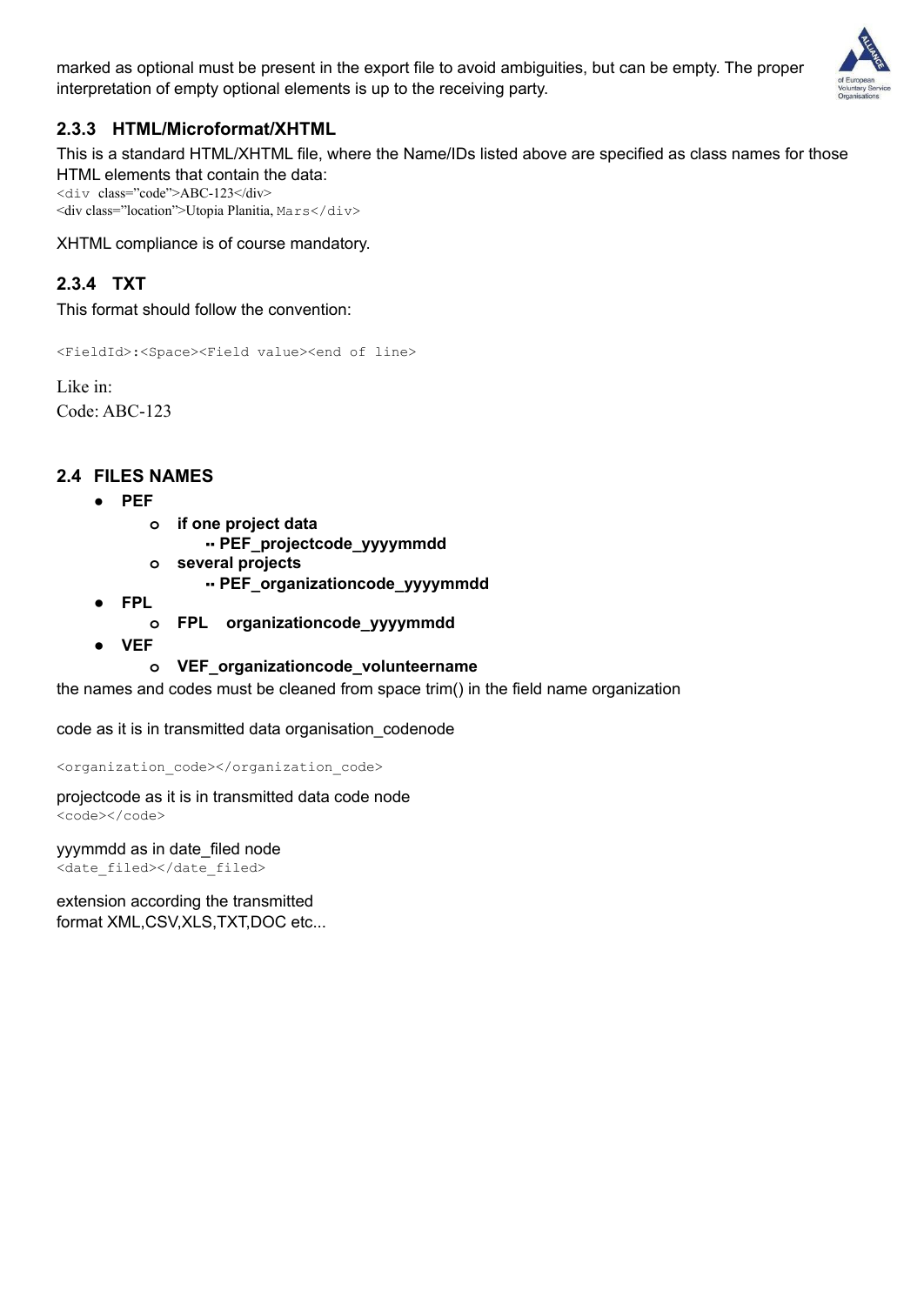marked as optional must be present in the export file to avoid ambiguities, but can be empty. The proper interpretation of empty optional elements is up to the receiving party.



### **2.3.3 HTML/Microformat/XHTML**

This is a standard HTML/XHTML file, where the Name/IDs listed above are specified as class names for those HTML elements that contain the data:

<div class="code">ABC-123</div> <div class="location">Utopia Planitia, Mars</div>

XHTML compliance is of course mandatory.

### **2.3.4 TXT**

This format should follow the convention:

<FieldId>:<Space><Field value><end of line>

Like in: Code: ABC-123

#### **2.4 FILES NAMES**

- **● PEF**
	- **o if one project data**
		- ▪▪ **PEF\_projectcode\_yyyymmdd**
	- **o several projects**
		- ▪▪ **PEF\_organizationcode\_yyyymmdd**
- **● FPL**
	- **o FPL organizationcode\_yyyymmdd**
- **● VEF**

#### **o VEF\_organizationcode\_volunteername**

the names and codes must be cleaned from space trim() in the field name organization

code as it is in transmitted data organisation\_codenode

<organization\_code></organization\_code>

projectcode as it is in transmitted data code node <code></code>

yyymmdd as in date\_filed node <date\_filed></date\_filed>

extension according the transmitted format XML,CSV,XLS,TXT,DOC etc...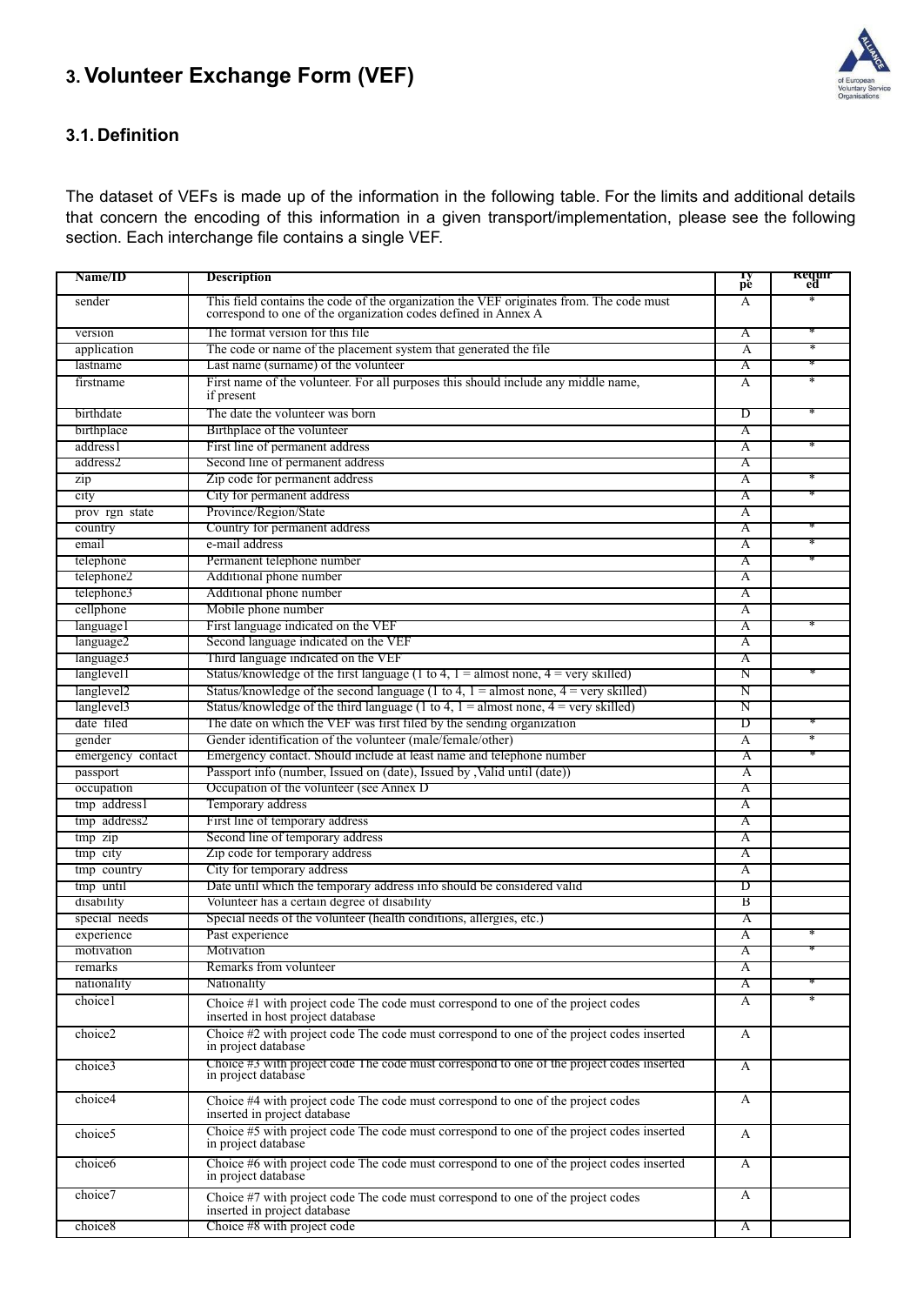## **3. Volunteer Exchange Form (VEF)**



#### **3.1. Definition**

The dataset of VEFs is made up of the information in the following table. For the limits and additional details that concern the encoding of this information in a given transport/implementation, please see the following section. Each interchange file contains a single VEF.

| Name/ID                | <b>Description</b>                                                                                                                                        | Ty<br>pe           | <b>Requir</b><br>ed |
|------------------------|-----------------------------------------------------------------------------------------------------------------------------------------------------------|--------------------|---------------------|
| sender                 | This field contains the code of the organization the VEF originates from. The code must<br>correspond to one of the organization codes defined in Annex A | A                  |                     |
| version                | The format version for this file                                                                                                                          | Α                  |                     |
| application            | The code or name of the placement system that generated the file                                                                                          | A                  | ∗                   |
| lastname               | Last name (surname) of the volunteer                                                                                                                      | Α                  |                     |
| firstname              | First name of the volunteer. For all purposes this should include any middle name,<br>if present                                                          | A                  | $\ast$              |
| birthdate              | The date the volunteer was born                                                                                                                           | D                  |                     |
| birthplace             | Birthplace of the volunteer                                                                                                                               | Α                  |                     |
| address1               | First line of permanent address                                                                                                                           | A                  | ∗                   |
| address2               | Second line of permanent address                                                                                                                          | Α                  |                     |
| zip                    | Zip code for permanent address                                                                                                                            | A                  | ∗                   |
| city                   | City for permanent address                                                                                                                                | Α                  |                     |
| prov rgn state         | Province/Region/State                                                                                                                                     | A                  |                     |
| country                | Country for permanent address                                                                                                                             | Α                  |                     |
| email                  | e-mail address                                                                                                                                            | A                  | ∗                   |
| telephone              | Permanent telephone number                                                                                                                                | Α                  |                     |
| telephone2             | Additional phone number                                                                                                                                   | A                  |                     |
| telephone3             | Additional phone number                                                                                                                                   | Α                  |                     |
| cellphone              | Mobile phone number                                                                                                                                       | A                  |                     |
| languagel              | First language indicated on the VEF                                                                                                                       | Α                  |                     |
| language2              | Second language indicated on the VEF                                                                                                                      | A                  |                     |
| language3              | Third language indicated on the VEF                                                                                                                       | Α                  |                     |
| langlevel1             | Status/knowledge of the first language (1 to 4, $1 =$ almost none, $4 =$ very skilled)                                                                    | N                  | ∗                   |
| langlevel <sub>2</sub> | Status/knowledge of the second language (1 to 4, $1 =$ almost none, $4 =$ very skilled)                                                                   | Ν                  |                     |
| langlevel <sub>3</sub> | Status/knowledge of the third language (1 to 4, $1 =$ almost none, $4 =$ very skilled)                                                                    | N                  |                     |
| date filed             | The date on which the VEF was first filed by the sending organization                                                                                     | D                  |                     |
| gender                 | Gender identification of the volunteer (male/female/other)                                                                                                | A                  | $\ast$              |
| emergency contact      | Emergency contact. Should include at least name and telephone number                                                                                      | Α                  |                     |
| passport               | Passport info (number, Issued on (date), Issued by , Valid until (date))                                                                                  | $\overline{\rm A}$ |                     |
| occupation             | Occupation of the volunteer (see Annex D                                                                                                                  | Α                  |                     |
| tmp address1           | Temporary address                                                                                                                                         | $\overline{\rm A}$ |                     |
| tmp address2           | First line of temporary address                                                                                                                           | Α                  |                     |
| tmp zip                | Second line of temporary address                                                                                                                          | $\overline{\rm A}$ |                     |
| tmp city               | Zip code for temporary address                                                                                                                            | Α                  |                     |
| tmp country            | City for temporary address                                                                                                                                | $\overline{\rm A}$ |                     |
| tmp until              | Date until which the temporary address info should be considered valid                                                                                    | D                  |                     |
| disability             | Volunteer has a certain degree of disability                                                                                                              | В                  |                     |
| special needs          | Special needs of the volunteer (health conditions, allergies, etc.)                                                                                       | A                  |                     |
| experience             | Past experience                                                                                                                                           | $\overline{\rm A}$ | ×                   |
| motivation             | Motivation                                                                                                                                                | Α                  |                     |
| remarks                | Remarks from volunteer                                                                                                                                    | A                  |                     |
| nationality            | Nationality                                                                                                                                               | Α                  |                     |
| choice1                | Choice #1 with project code The code must correspond to one of the project codes<br>inserted in host project database                                     | A                  | $\ast$              |
| choice2                | Choice #2 with project code The code must correspond to one of the project codes inserted<br>in project database                                          | A                  |                     |
| choice3                | Choice #3 with project code The code must correspond to one of the project codes inserted in project database                                             | A                  |                     |
| choice4                | Choice #4 with project code The code must correspond to one of the project codes<br>inserted in project database                                          | A                  |                     |
| choice <sub>5</sub>    | Choice #5 with project code The code must correspond to one of the project codes inserted<br>in project database                                          | A                  |                     |
| choice6                | Choice #6 with project code The code must correspond to one of the project codes inserted<br>in project database                                          | A                  |                     |
| choice7                | Choice #7 with project code The code must correspond to one of the project codes<br>inserted in project database                                          | A                  |                     |
| choice8                | Choice #8 with project code                                                                                                                               | A                  |                     |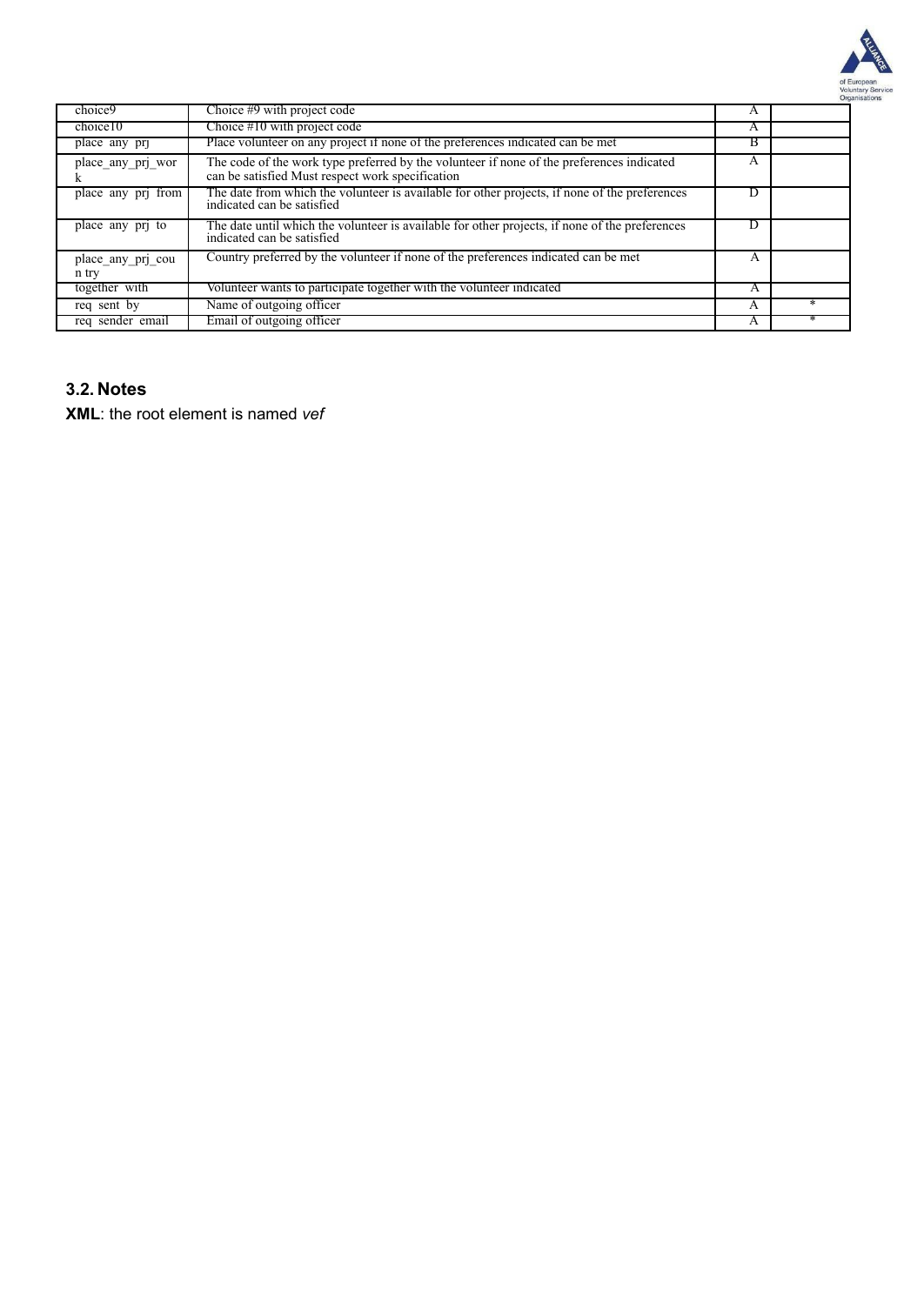

| choice9                    | Choice #9 with project code                                                                                                                   | A |  |
|----------------------------|-----------------------------------------------------------------------------------------------------------------------------------------------|---|--|
| choice10                   | Choice #10 with project code                                                                                                                  | A |  |
| place any pr               | Place volunteer on any project if none of the preferences indicated can be met                                                                | в |  |
| place any pri wor          | The code of the work type preferred by the volunteer if none of the preferences indicated<br>can be satisfied Must respect work specification | A |  |
| place any prj from         | The date from which the volunteer is available for other projects, if none of the preferences<br>indicated can be satisfied                   | D |  |
| place any pri to           | The date until which the volunteer is available for other projects, if none of the preferences<br>indicated can be satisfied                  | D |  |
| place any pri cou<br>n try | Country preferred by the volunteer if none of the preferences indicated can be met                                                            | A |  |
| together with              | Volunteer wants to participate together with the volunteer indicated                                                                          | A |  |
| reg sent by                | Name of outgoing officer                                                                                                                      | A |  |
| req sender email           | Email of outgoing officer                                                                                                                     | A |  |

#### **3.2. Notes**

**XML**: the root element is named *vef*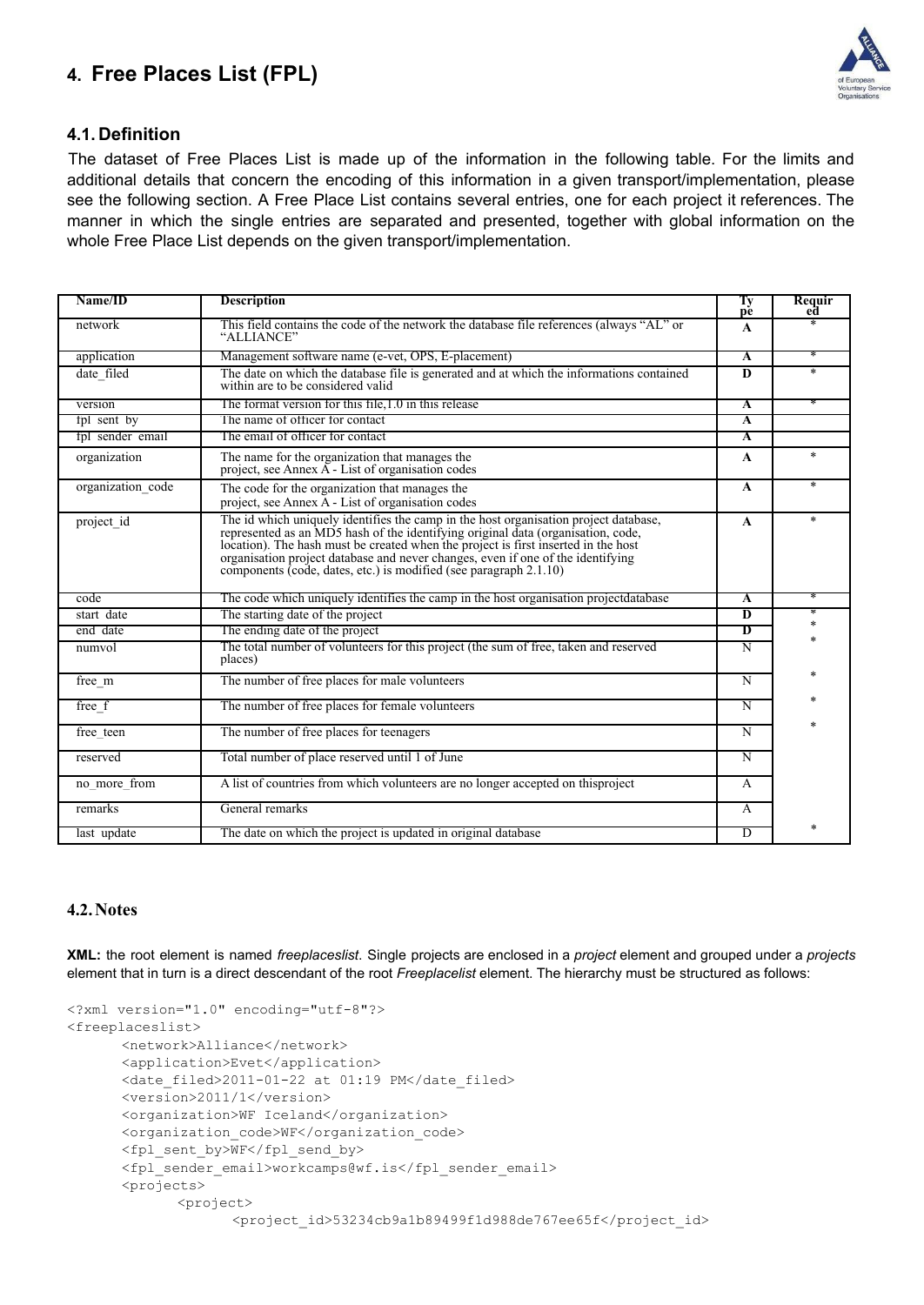### **4. Free Places List (FPL)**



#### **4.1. Definition**

The dataset of Free Places List is made up of the information in the following table. For the limits and additional details that concern the encoding of this information in a given transport/implementation, please see the following section. A Free Place List contains several entries, one for each project it references. The manner in which the single entries are separated and presented, together with global information on the whole Free Place List depends on the given transport/implementation.

| Name/ID           | <b>Description</b>                                                                                                                                                                                                                                                                                                                                                                                                     | Тy<br>рè                | Requir<br>ed |
|-------------------|------------------------------------------------------------------------------------------------------------------------------------------------------------------------------------------------------------------------------------------------------------------------------------------------------------------------------------------------------------------------------------------------------------------------|-------------------------|--------------|
| network           | This field contains the code of the network the database file references (always "AL" or<br>"ALLIANCE"                                                                                                                                                                                                                                                                                                                 | $\mathbf{A}$            | $\ast$       |
| application       | Management software name (e-vet, OPS, E-placement)                                                                                                                                                                                                                                                                                                                                                                     | $\overline{\mathbf{A}}$ |              |
| date_filed        | The date on which the database file is generated and at which the informations contained<br>within are to be considered valid                                                                                                                                                                                                                                                                                          | D                       | $\ast$       |
| version           | The format version for this file.1.0 in this release                                                                                                                                                                                                                                                                                                                                                                   | $\mathbf{A}$            |              |
| fpl sent by       | The name of officer for contact                                                                                                                                                                                                                                                                                                                                                                                        | A                       |              |
| fpl sender email  | The email of officer for contact                                                                                                                                                                                                                                                                                                                                                                                       | A                       |              |
| organization      | The name for the organization that manages the<br>project, see Annex A - List of organisation codes                                                                                                                                                                                                                                                                                                                    | $\mathbf{A}$            | $\ast$       |
| organization code | The code for the organization that manages the<br>project, see Annex A - List of organisation codes                                                                                                                                                                                                                                                                                                                    | $\mathbf{A}$            | $\ast$       |
| project id        | The id which uniquely identifies the camp in the host organisation project database,<br>represented as an MD5 hash of the identifying original data (organisation, code,<br>location). The hash must be created when the project is first inserted in the host<br>organisation project database and never changes, even if one of the identifying<br>components (code, dates, etc.) is modified (see paragraph 2.1.10) | A                       | $\ast$       |
| code              | The code which uniquely identifies the camp in the host organisation projectdatabase                                                                                                                                                                                                                                                                                                                                   | $\overline{\mathbf{A}}$ |              |
| start date        | The starting date of the project                                                                                                                                                                                                                                                                                                                                                                                       | $\overline{\mathbf{D}}$ | ∗<br>$*$     |
| end date          | The ending date of the project                                                                                                                                                                                                                                                                                                                                                                                         | D                       |              |
| numvol            | The total number of volunteers for this project (the sum of free, taken and reserved<br>places)                                                                                                                                                                                                                                                                                                                        | $\overline{N}$          |              |
| free m            | The number of free places for male volunteers                                                                                                                                                                                                                                                                                                                                                                          | $\overline{N}$          |              |
| free f            | The number of free places for female volunteers                                                                                                                                                                                                                                                                                                                                                                        | $\overline{\rm N}$      |              |
| free teen         | The number of free places for teenagers                                                                                                                                                                                                                                                                                                                                                                                | $\overline{N}$          |              |
| reserved          | Total number of place reserved until 1 of June                                                                                                                                                                                                                                                                                                                                                                         | $\overline{\rm N}$      |              |
| no more from      | A list of countries from which volunteers are no longer accepted on this<br>project                                                                                                                                                                                                                                                                                                                                    | A                       |              |
| remarks           | General remarks                                                                                                                                                                                                                                                                                                                                                                                                        | A                       |              |
| last update       | The date on which the project is updated in original database                                                                                                                                                                                                                                                                                                                                                          | $\overline{D}$          |              |

#### **4.2.Notes**

**XML:** the root element is named *freeplaceslist*. Single projects are enclosed in a *project* element and grouped under a *projects* element that in turn is a direct descendant of the root *Freeplacelist* element. The hierarchy must be structured as follows:

```
<?xml version="1.0" encoding="utf-8"?>
<freeplaceslist>
      <network>Alliance</network>
      <application>Evet</application>
      <date filed>2011-01-22 at 01:19 PM</date filed>
      <version>2011/1</version>
      <organization>WF Iceland</organization>
      <organization_code>WF</organization_code>
      <fpl_sent_by>WF</fpl_send_by>
      <fpl_sender_email>workcamps@wf.is</fpl_sender_email>
      <projects>
             <project>
                   <project_id>53234cb9a1b89499f1d988de767ee65f</project_id>
```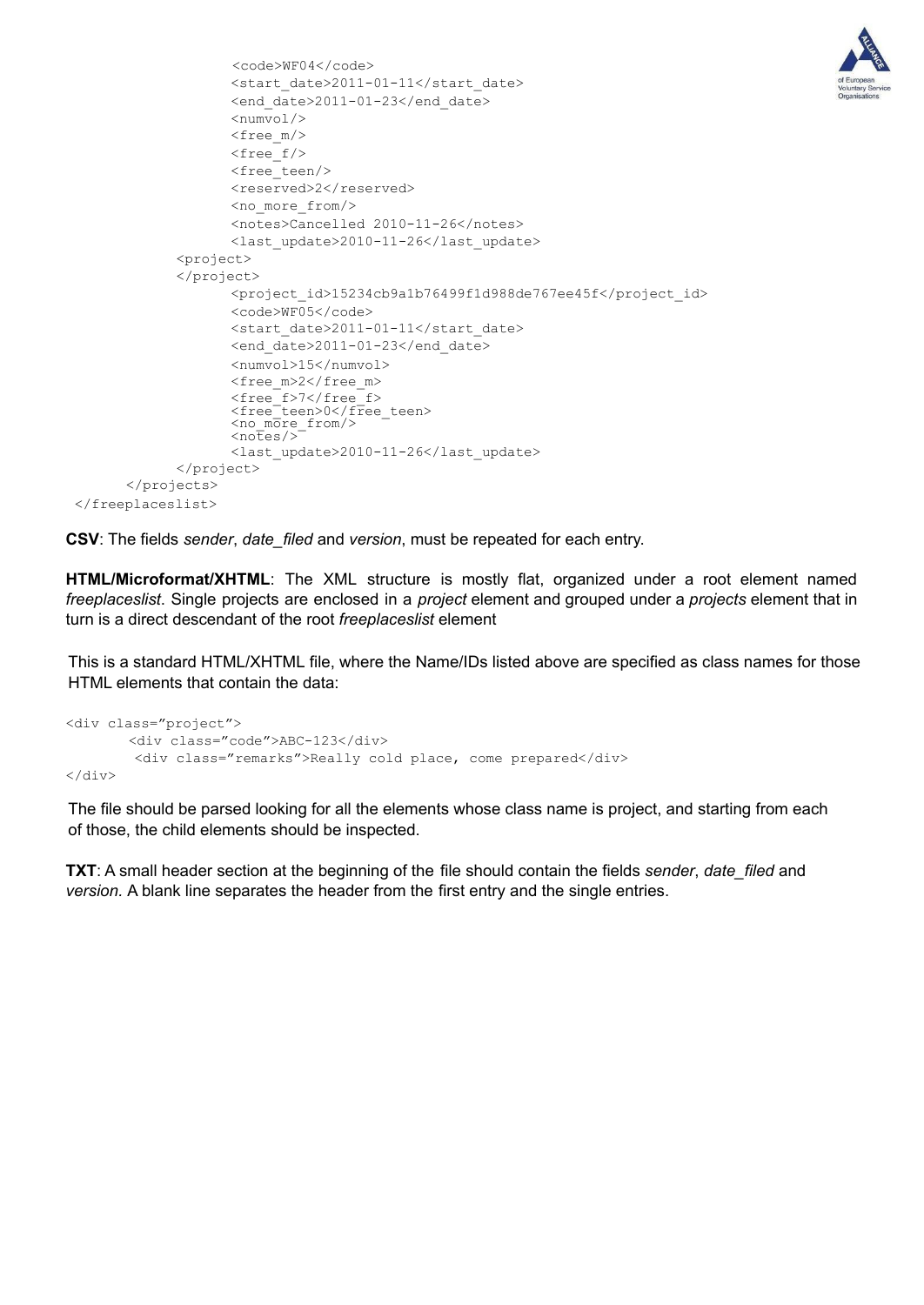

```
<code>WF04</code>
                      <start_date>2011-01-11</start_date>
                      <end date>2011-01-23</end date>
                      <numvol/>
                      <free_m/>
                      <free_f/>
                      <free_teen/>
                      <reserved>2</reserved>
                      <no_more_from/>
                      <notes>Cancelled 2010-11-26</notes>
                      <last_update>2010-11-26</last_update>
              <project>
              </project>
                      <project_id>15234cb9a1b76499f1d988de767ee45f</project_id>
                      <code>WF05</code>
                      <start_date>2011-01-11</start_date>
                      <end date>2011-01-23</end date>
                      <numvol>15</numvol>
                      <free_m>2</free_m>
                      \langlefree\bar{f}>7\langle/free\bar{f}>
                      <free<sup>-</sup>teen>0</free teen>
                      <sub>no_m</sub> <sub>o_m</sub> <sub>o_m</sub></sub></sub></sub>
                      \langle \text{noFes} \rangle<last_update>2010-11-26</last_update>
              </project>
       </projects>
</freeplaceslist>
```
**CSV**: The fields *sender*, *date\_filed* and *version*, must be repeated for each entry.

**HTML/Microformat/XHTML**: The XML structure is mostly flat, organized under a root element named *freeplaceslist*. Single projects are enclosed in a *project* element and grouped under a *projects* element that in turn is a direct descendant of the root *freeplaceslist* element

This is a standard HTML/XHTML file, where the Name/IDs listed above are specified as class names for those HTML elements that contain the data:

```
<div class="project">
       <div class="code">ABC-123</div>
       <div class="remarks">Really cold place, come prepared</div>
</div>
```
The file should be parsed looking for all the elements whose class name is project, and starting from each of those, the child elements should be inspected.

**TXT**: A small header section at the beginning of the file should contain the fields *sender*, *date\_filed* and *version.* A blank line separates the header from the first entry and the single entries.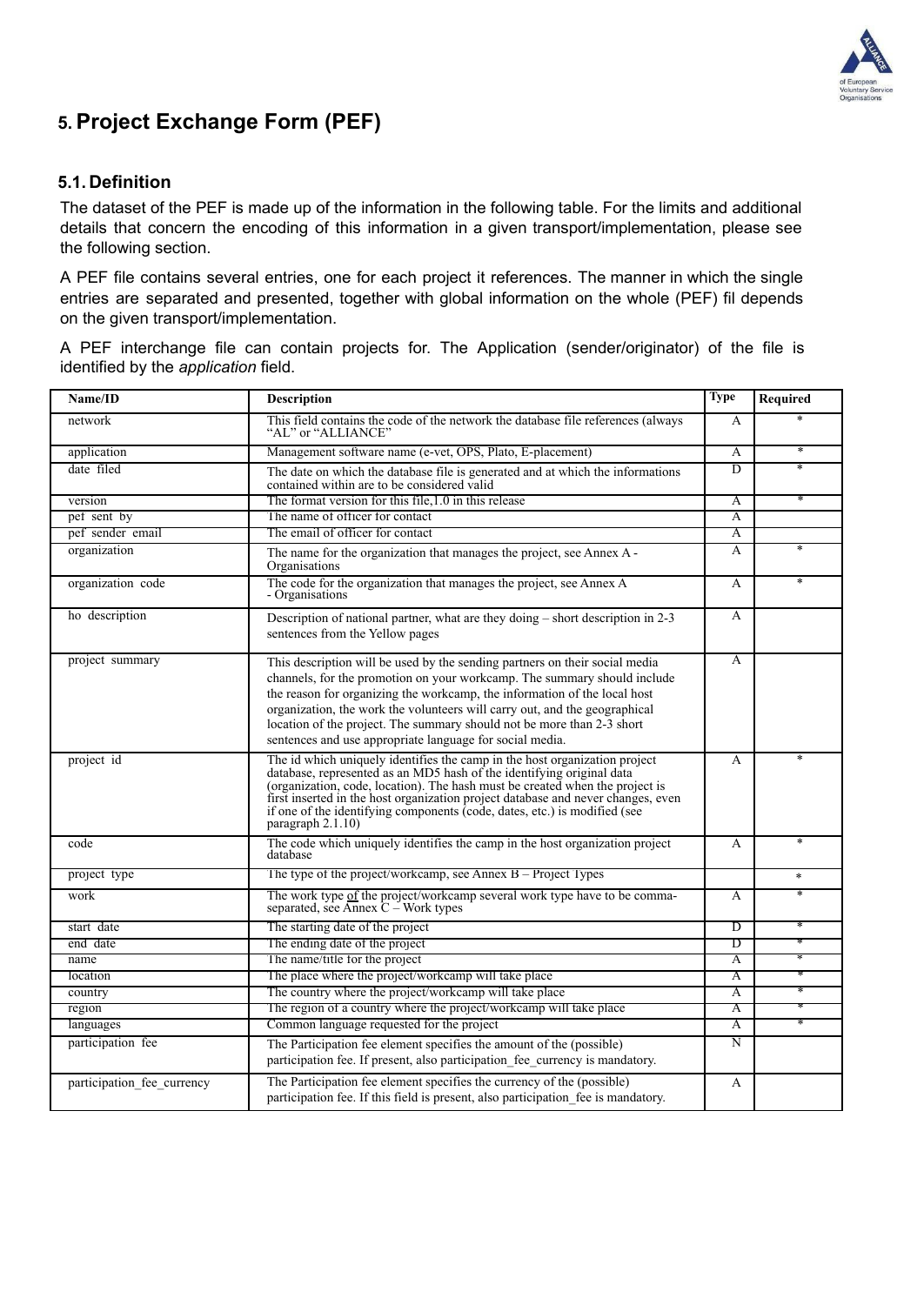

### **5. Project Exchange Form (PEF)**

#### **5.1. Definition**

The dataset of the PEF is made up of the information in the following table. For the limits and additional details that concern the encoding of this information in a given transport/implementation, please see the following section.

A PEF file contains several entries, one for each project it references. The manner in which the single entries are separated and presented, together with global information on the whole (PEF) fil depends on the given transport/implementation.

A PEF interchange file can contain projects for. The Application (sender/originator) of the file is identified by the *application* field.

| Name/ID                    | <b>Description</b>                                                                                                                                                                                                                                                                                                                                                                                                                                       | <b>Type</b>        | Required          |
|----------------------------|----------------------------------------------------------------------------------------------------------------------------------------------------------------------------------------------------------------------------------------------------------------------------------------------------------------------------------------------------------------------------------------------------------------------------------------------------------|--------------------|-------------------|
| network                    | This field contains the code of the network the database file references (always<br>"AL" or "ALLIANCE"                                                                                                                                                                                                                                                                                                                                                   |                    |                   |
| application                | Management software name (e-vet, OPS, Plato, E-placement)                                                                                                                                                                                                                                                                                                                                                                                                |                    | ∗                 |
| date filed                 | The date on which the database file is generated and at which the informations<br>contained within are to be considered valid                                                                                                                                                                                                                                                                                                                            | $\overline{D}$     | $\overline{\ast}$ |
| version                    | The format version for this file, 1.0 in this release                                                                                                                                                                                                                                                                                                                                                                                                    | $\overline{\rm A}$ |                   |
| pet sent by                | The name of officer for contact                                                                                                                                                                                                                                                                                                                                                                                                                          | $\overline{A}$     |                   |
| pef sender email           | The email of officer for contact                                                                                                                                                                                                                                                                                                                                                                                                                         | Α                  |                   |
| organization               | The name for the organization that manages the project, see Annex A -<br>Organisations                                                                                                                                                                                                                                                                                                                                                                   | A                  | $\ast$            |
| organization code          | The code for the organization that manages the project, see Annex A<br>- Organisations                                                                                                                                                                                                                                                                                                                                                                   | A                  | $\ast$            |
| ho description             | Description of national partner, what are they doing - short description in 2-3<br>sentences from the Yellow pages                                                                                                                                                                                                                                                                                                                                       | A                  |                   |
| project summary            | This description will be used by the sending partners on their social media<br>channels, for the promotion on your workcamp. The summary should include<br>the reason for organizing the workcamp, the information of the local host<br>organization, the work the volunteers will carry out, and the geographical<br>location of the project. The summary should not be more than 2-3 short<br>sentences and use appropriate language for social media. | A                  |                   |
| project id                 | The id which uniquely identifies the camp in the host organization project<br>database, represented as an MD5 hash of the identifying original data<br>(organization, code, location). The hash must be created when the project is<br>first inserted in the host organization project database and never changes, even<br>if one of the identifying components (code, dates, etc.) is modified (see<br>paragraph $2.1.10$ )                             |                    | ×                 |
| code                       | The code which uniquely identifies the camp in the host organization project<br>database                                                                                                                                                                                                                                                                                                                                                                 | A                  | $\ast$            |
| project type               | The type of the project/workcamp, see Annex $B -$ Project Types                                                                                                                                                                                                                                                                                                                                                                                          |                    | $\ast$            |
| work                       | The work type of the project/workcamp several work type have to be comma-<br>separated, see Annex $C - Work types$                                                                                                                                                                                                                                                                                                                                       |                    | $\ast$            |
| start date                 | The starting date of the project                                                                                                                                                                                                                                                                                                                                                                                                                         | $\overline{D}$     |                   |
| end date                   | The ending date of the project                                                                                                                                                                                                                                                                                                                                                                                                                           | D                  |                   |
| name                       | The name/title for the project                                                                                                                                                                                                                                                                                                                                                                                                                           | A                  |                   |
| location                   | The place where the project/workcamp will take place                                                                                                                                                                                                                                                                                                                                                                                                     | Α                  |                   |
| country                    | The country where the project/workcamp will take place                                                                                                                                                                                                                                                                                                                                                                                                   | $\overline{A}$     |                   |
| region                     | The region of a country where the project/workcamp will take place                                                                                                                                                                                                                                                                                                                                                                                       | Α                  |                   |
| languages                  | Common language requested for the project                                                                                                                                                                                                                                                                                                                                                                                                                | A                  | $\ast$            |
| participation fee          | The Participation fee element specifies the amount of the (possible)<br>participation fee. If present, also participation fee currency is mandatory.                                                                                                                                                                                                                                                                                                     | Ñ                  |                   |
| participation fee currency | The Participation fee element specifies the currency of the (possible)<br>participation fee. If this field is present, also participation fee is mandatory.                                                                                                                                                                                                                                                                                              | A                  |                   |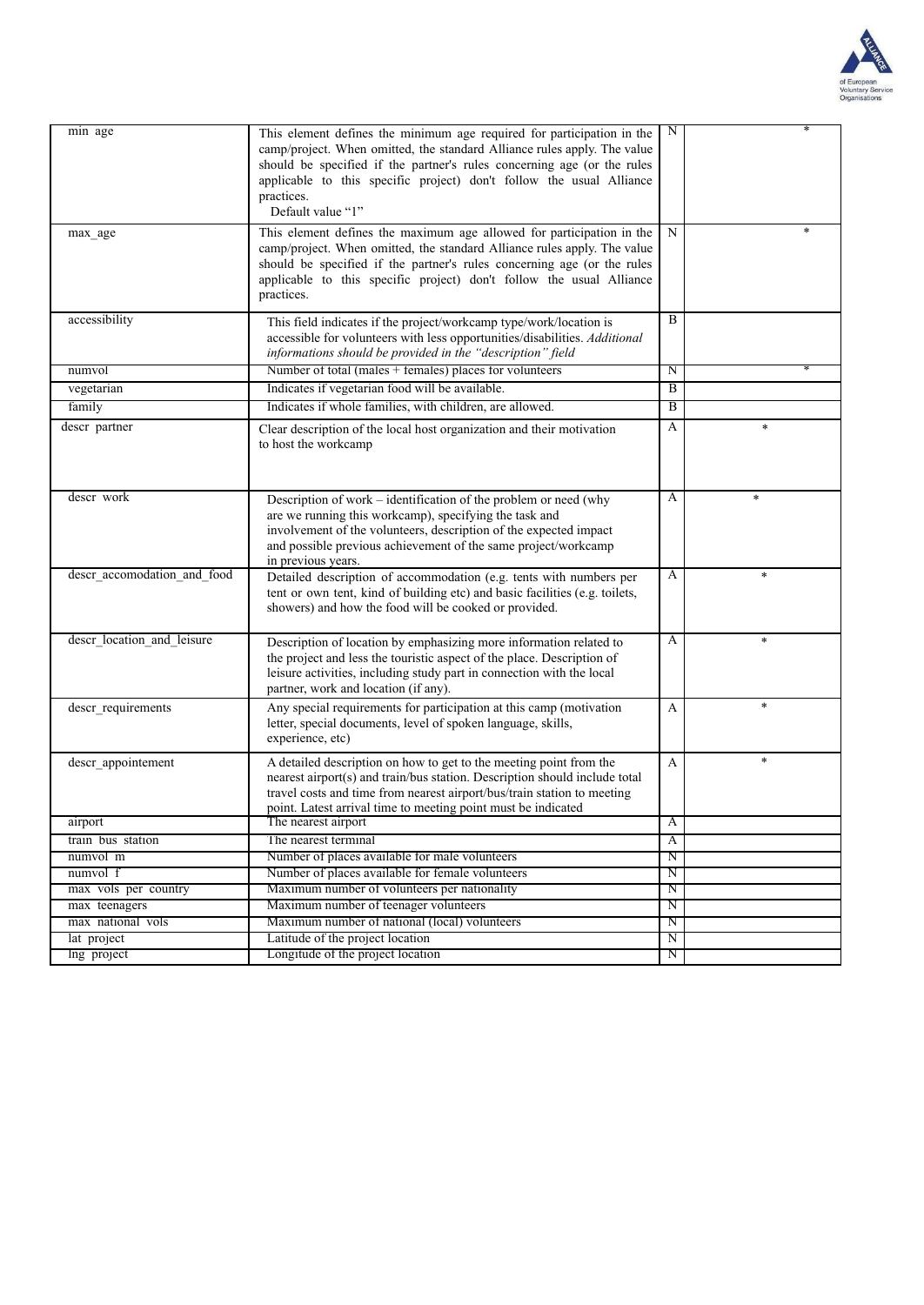

| min age                     | This element defines the minimum age required for participation in the<br>camp/project. When omitted, the standard Alliance rules apply. The value<br>should be specified if the partner's rules concerning age (or the rules<br>applicable to this specific project) don't follow the usual Alliance<br>practices.<br>Default value "1" | N                       |        |
|-----------------------------|------------------------------------------------------------------------------------------------------------------------------------------------------------------------------------------------------------------------------------------------------------------------------------------------------------------------------------------|-------------------------|--------|
| max age                     | This element defines the maximum age allowed for participation in the<br>camp/project. When omitted, the standard Alliance rules apply. The value<br>should be specified if the partner's rules concerning age (or the rules<br>applicable to this specific project) don't follow the usual Alliance<br>practices.                       | N                       |        |
| accessibility               | This field indicates if the project/workcamp type/work/location is<br>accessible for volunteers with less opportunities/disabilities. Additional<br>informations should be provided in the "description" field                                                                                                                           | B                       |        |
| numvol                      | Number of total (males + females) places for volunteers                                                                                                                                                                                                                                                                                  | Ν                       |        |
| vegetarian                  | Indicates if vegetarian food will be available.                                                                                                                                                                                                                                                                                          | $\overline{B}$          |        |
| family                      | Indicates if whole families, with children, are allowed.                                                                                                                                                                                                                                                                                 | $\overline{B}$          |        |
| descr partner               | Clear description of the local host organization and their motivation<br>to host the workcamp                                                                                                                                                                                                                                            | A                       | $\ast$ |
| descr work                  | Description of work – identification of the problem or need (why<br>are we running this workcamp), specifying the task and<br>involvement of the volunteers, description of the expected impact<br>and possible previous achievement of the same project/workcamp<br>in previous years.                                                  | A                       | $\ast$ |
| descr_accomodation_and_food | Detailed description of accommodation (e.g. tents with numbers per<br>tent or own tent, kind of building etc) and basic facilities (e.g. toilets,<br>showers) and how the food will be cooked or provided.                                                                                                                               | A                       | $\ast$ |
| descr_location_and_leisure  | Description of location by emphasizing more information related to<br>the project and less the touristic aspect of the place. Description of<br>leisure activities, including study part in connection with the local<br>partner, work and location (if any).                                                                            | A                       | $\ast$ |
| descr_requirements          | Any special requirements for participation at this camp (motivation<br>letter, special documents, level of spoken language, skills,<br>experience, etc)                                                                                                                                                                                  | A                       | $\ast$ |
| descr appointement          | A detailed description on how to get to the meeting point from the<br>nearest airport(s) and train/bus station. Description should include total<br>travel costs and time from nearest airport/bus/train station to meeting<br>point. Latest arrival time to meeting point must be indicated                                             | A                       | $\ast$ |
| airport                     | The nearest airport                                                                                                                                                                                                                                                                                                                      | A                       |        |
| train bus station           | The nearest terminal                                                                                                                                                                                                                                                                                                                     | A                       |        |
| numvol m                    | Number of places available for male volunteers                                                                                                                                                                                                                                                                                           | N                       |        |
| numvol f                    | Number of places available for female volunteers                                                                                                                                                                                                                                                                                         | $\overline{\mathrm{N}}$ |        |
| max vols per country        | Maximum number of volunteers per nationality                                                                                                                                                                                                                                                                                             | $_{\rm N}$              |        |
| max teenagers               | Maximum number of teenager volunteers                                                                                                                                                                                                                                                                                                    | $\overline{\mathrm{N}}$ |        |
| max national vols           | Maximum number of national (local) volunteers                                                                                                                                                                                                                                                                                            | Ν                       |        |
| lat project                 | Latitude of the project location                                                                                                                                                                                                                                                                                                         | N                       |        |
| Ing project                 | Longitude of the project location                                                                                                                                                                                                                                                                                                        | Ν                       |        |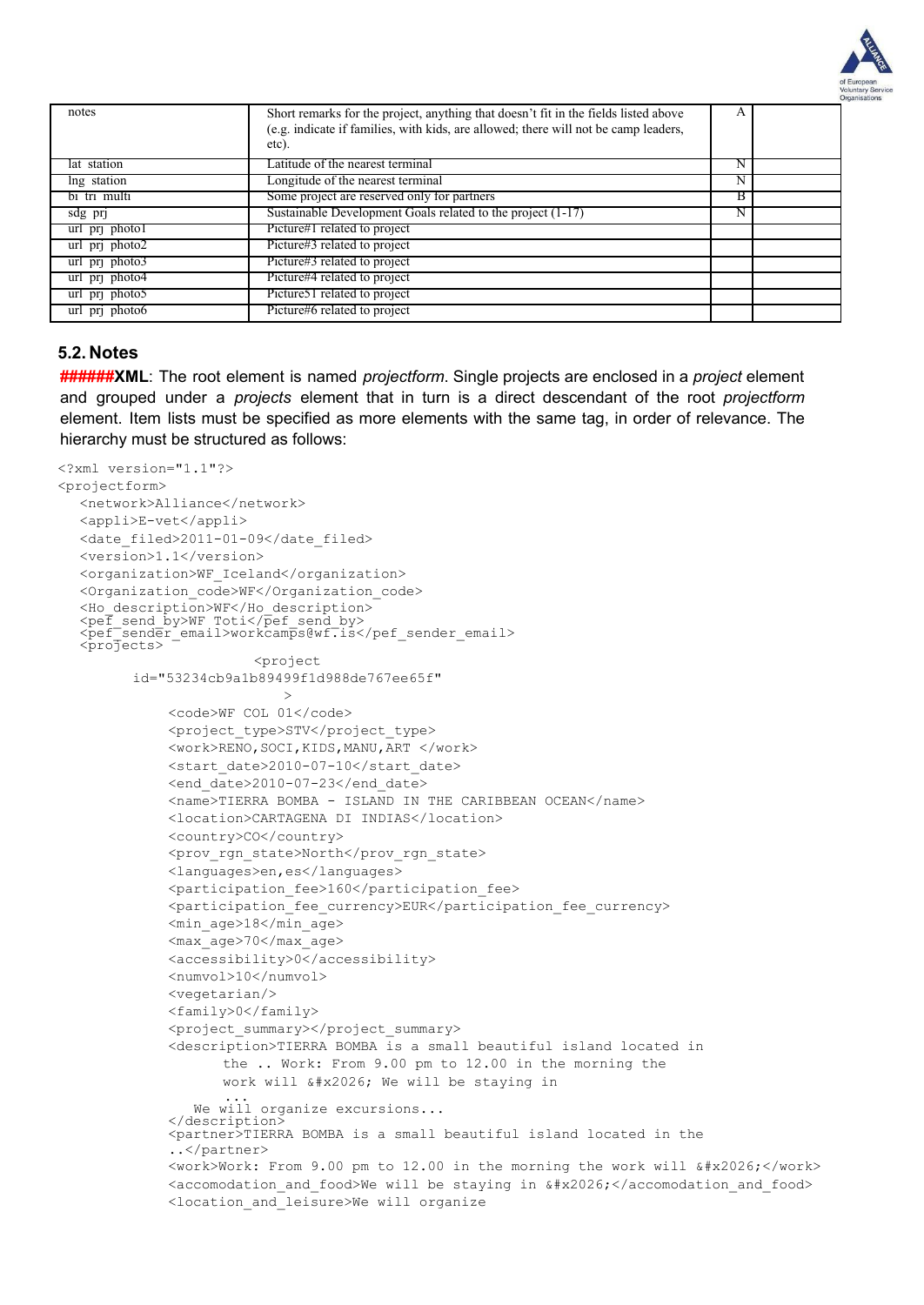

| notes            | Short remarks for the project, anything that doesn't fit in the fields listed above<br>(e.g. indicate if families, with kids, are allowed; there will not be camp leaders,<br>etc). |   |  |
|------------------|-------------------------------------------------------------------------------------------------------------------------------------------------------------------------------------|---|--|
| lat station      | Latitude of the nearest terminal                                                                                                                                                    | N |  |
| lng station      | Longitude of the nearest terminal                                                                                                                                                   | N |  |
| bi tri multi     | Some project are reserved only for partners                                                                                                                                         | В |  |
| $sdg$ pri        | Sustainable Development Goals related to the project (1-17)                                                                                                                         | N |  |
| url pri photo I  | Picture#1 related to project                                                                                                                                                        |   |  |
| url pri photo2   | Picture#3 related to project                                                                                                                                                        |   |  |
| $url$ pri photo3 | Picture#3 related to project                                                                                                                                                        |   |  |
| url pri photo4   | Picture#4 related to project                                                                                                                                                        |   |  |
| url pri photo5   | Picture 51 related to project                                                                                                                                                       |   |  |
| url pri photo6   | Picture#6 related to project                                                                                                                                                        |   |  |

#### **5.2. Notes**

**######XML**: The root element is named *projectform*. Single projects are enclosed in a *project* element and grouped under a *projects* element that in turn is a direct descendant of the root *projectform* element. Item lists must be specified as more elements with the same tag, in order of relevance. The hierarchy must be structured as follows:

```
<?xml version="1.1"?>
<projectform>
  <network>Alliance</network>
  <appli>E-vet</appli>
  <date filed>2011-01-09</date filed>
  <version>1.1</version>
  <organization>WF_Iceland</organization>
  <Organization_code>WF</Organization_code>
  <Ho_description>WF</Ho_description>
  <pef_send_by>WF Toti</pef_send_by>
  <pef_sendēr_email>workcamps@wf.is</pef_sender_email><br><projects>
                        <project
         id="53234cb9a1b89499f1d988de767ee65f"
                            >
             <code>WF COL 01</code>
             <project_type>STV</project_type>
             <work>RENO,SOCI,KIDS,MANU,ART </work>
             <start_date>2010-07-10</start_date>
             <end date>2010-07-23</end date>
             <name>TIERRA BOMBA - ISLAND IN THE CARIBBEAN OCEAN</name>
             <location>CARTAGENA DI INDIAS</location>
             <country>CO</country>
             <prov_rgn_state>North</prov_rgn_state>
             <languages>en,es</languages>
             <participation_fee>160</participation_fee>
             <participation_fee_currency>EUR</participation_fee_currency>
             <min_age>18</min_age>
             <max_age>70</max_age>
             <accessibility>0</accessibility>
             <numvol>10</numvol>
             <vegetarian/>
             <family>0</family>
             <project_summary></project_summary>
             <description>TIERRA BOMBA is a small beautiful island located in
                    the .. Work: From 9.00 pm to 12.00 in the morning the
                    work will … We will be staying in
                 ...
We will organize excursions...
             </description>
             <partner>TIERRA BOMBA is a small beautiful island located in the
              ..</partner>
             \forallwork>Work: From 9.00 pm to 12.00 in the morning the work will \frac{1}{4} \frac{1}{4} \frac{1}{2} \frac{1}{2} \frac{1}{2}<accomodation and food>We will be staying in \frac{1}{4}x2026;</accomodation and food>
             <location_and_leisure>We will organize
```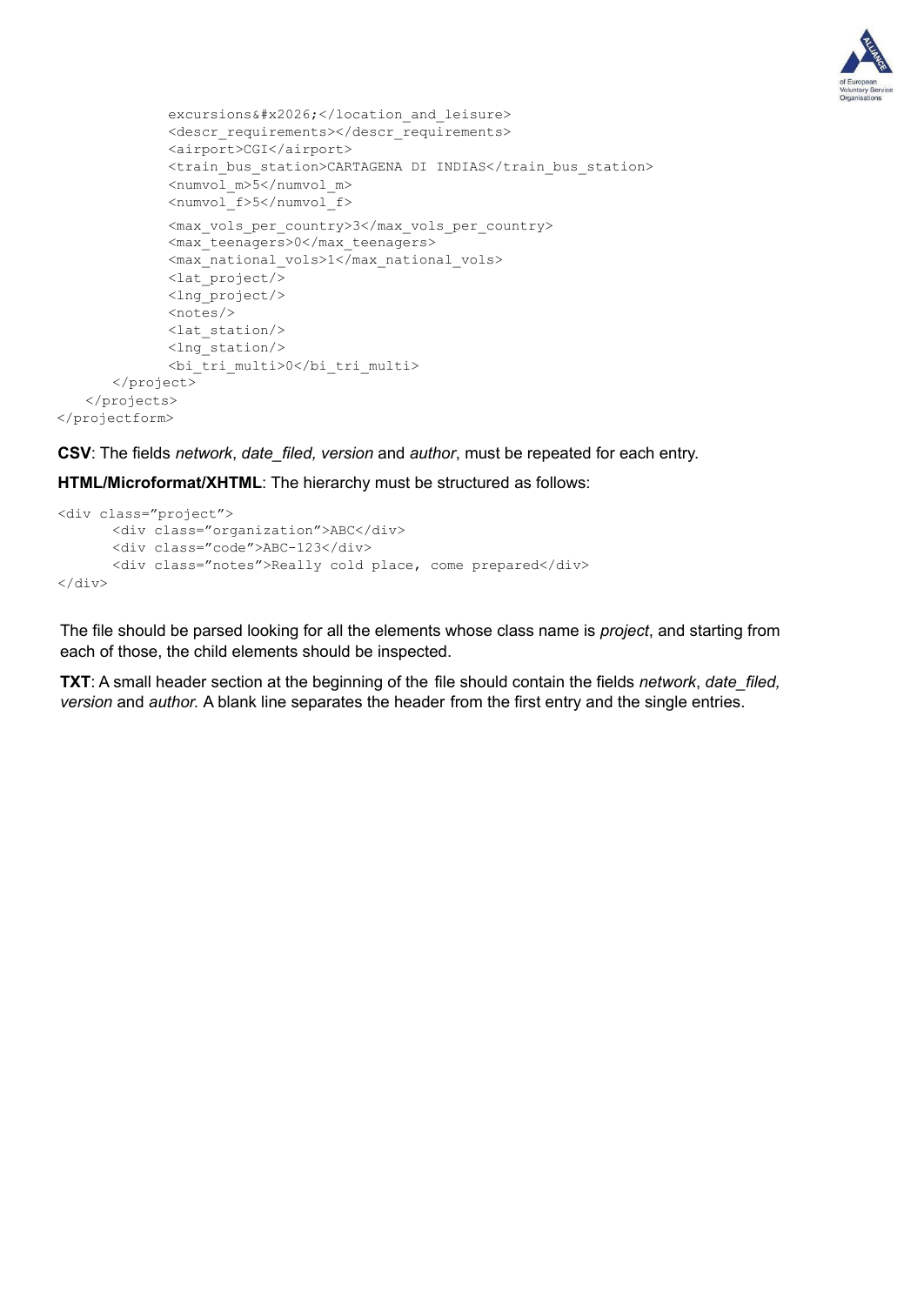

```
excursions…</location and leisure>
             <descr_requirements></descr_requirements>
             <airport>CGI</airport>
             <train_bus_station>CARTAGENA DI INDIAS</train_bus_station>
             <numvol_m>5</numvol_m>
             <numvol_f>5</numvol_f>
             <max_vols_per_country>3</max_vols_per_country>
             <max_teenagers>0</max_teenagers>
             <max_national_vols>1</max_national_vols>
             <lat_project/>
             <lng_project/>
             <notes/>
             <lat_station/>
             <lng_station/>
             <bi_tri_multi>0</bi_tri_multi>
      </project>
   </projects>
</projectform>
```
**CSV**: The fields *network*, *date\_filed, version* and *author*, must be repeated for each entry.

**HTML/Microformat/XHTML**: The hierarchy must be structured as follows:

```
<div class="project">
      <div class="organization">ABC</div>
      <div class="code">ABC-123</div>
      <div class="notes">Really cold place, come prepared</div>
\langlediv\rangle
```
The file should be parsed looking for all the elements whose class name is *project*, and starting from each of those, the child elements should be inspected.

**TXT**: A small header section at the beginning of the file should contain the fields *network*, *date\_filed, version* and *author.* A blank line separates the header from the first entry and the single entries.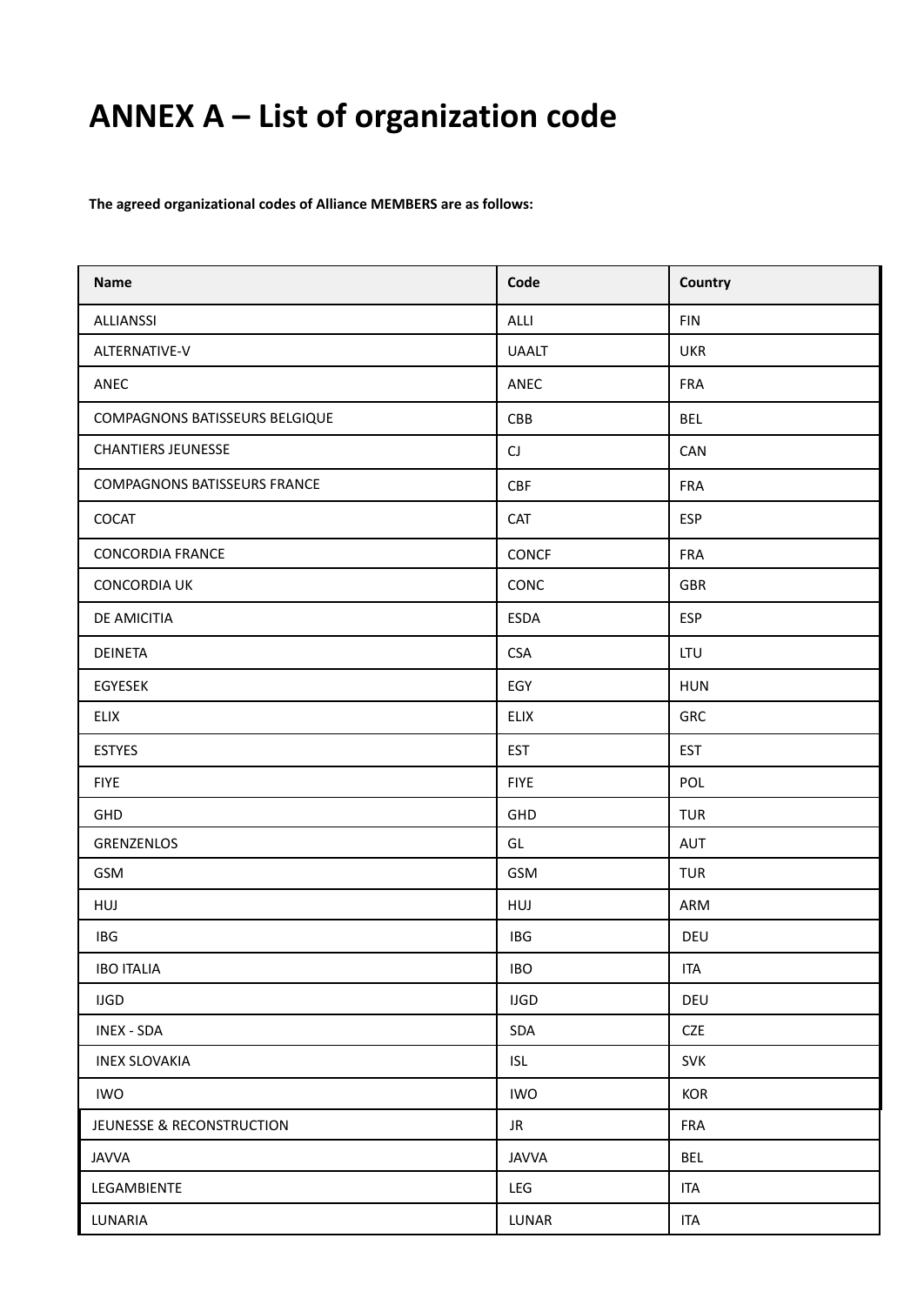# **ANNEX A – List of organization code**

**The agreed organizational codes of Alliance MEMBERS are as follows:**

| <b>Name</b>                         | Code                   | Country    |
|-------------------------------------|------------------------|------------|
| <b>ALLIANSSI</b>                    | ALLI                   | <b>FIN</b> |
| ALTERNATIVE-V                       | <b>UAALT</b>           | <b>UKR</b> |
| ANEC                                | ANEC                   | <b>FRA</b> |
| COMPAGNONS BATISSEURS BELGIQUE      | CBB                    | <b>BEL</b> |
| <b>CHANTIERS JEUNESSE</b>           | $\mathsf{C}\mathsf{J}$ | CAN        |
| <b>COMPAGNONS BATISSEURS FRANCE</b> | <b>CBF</b>             | <b>FRA</b> |
| COCAT                               | <b>CAT</b>             | <b>ESP</b> |
| <b>CONCORDIA FRANCE</b>             | CONCF                  | <b>FRA</b> |
| <b>CONCORDIA UK</b>                 | CONC                   | GBR        |
| DE AMICITIA                         | <b>ESDA</b>            | <b>ESP</b> |
| <b>DEINETA</b>                      | <b>CSA</b>             | LTU        |
| EGYESEK                             | EGY                    | <b>HUN</b> |
| ELIX                                | <b>ELIX</b>            | GRC        |
| <b>ESTYES</b>                       | <b>EST</b>             | <b>EST</b> |
| <b>FIYE</b>                         | <b>FIYE</b>            | POL        |
| GHD                                 | GHD                    | <b>TUR</b> |
| GRENZENLOS                          | GL                     | AUT        |
| GSM                                 | GSM                    | <b>TUR</b> |
| HUJ                                 | HUJ                    | ARM        |
| IBG                                 | IBG                    | DEU        |
| <b>IBO ITALIA</b>                   | <b>IBO</b>             | <b>ITA</b> |
| <b>IJGD</b>                         | <b>IJGD</b>            | DEU        |
| <b>INEX - SDA</b>                   | SDA                    | <b>CZE</b> |
| <b>INEX SLOVAKIA</b>                | <b>ISL</b>             | <b>SVK</b> |
| <b>IWO</b>                          | <b>IWO</b>             | <b>KOR</b> |
| JEUNESSE & RECONSTRUCTION           | JR                     | <b>FRA</b> |
| <b>JAVVA</b>                        | <b>JAVVA</b>           | <b>BEL</b> |
| LEGAMBIENTE                         | LEG                    | <b>ITA</b> |
| LUNARIA                             | LUNAR                  | <b>ITA</b> |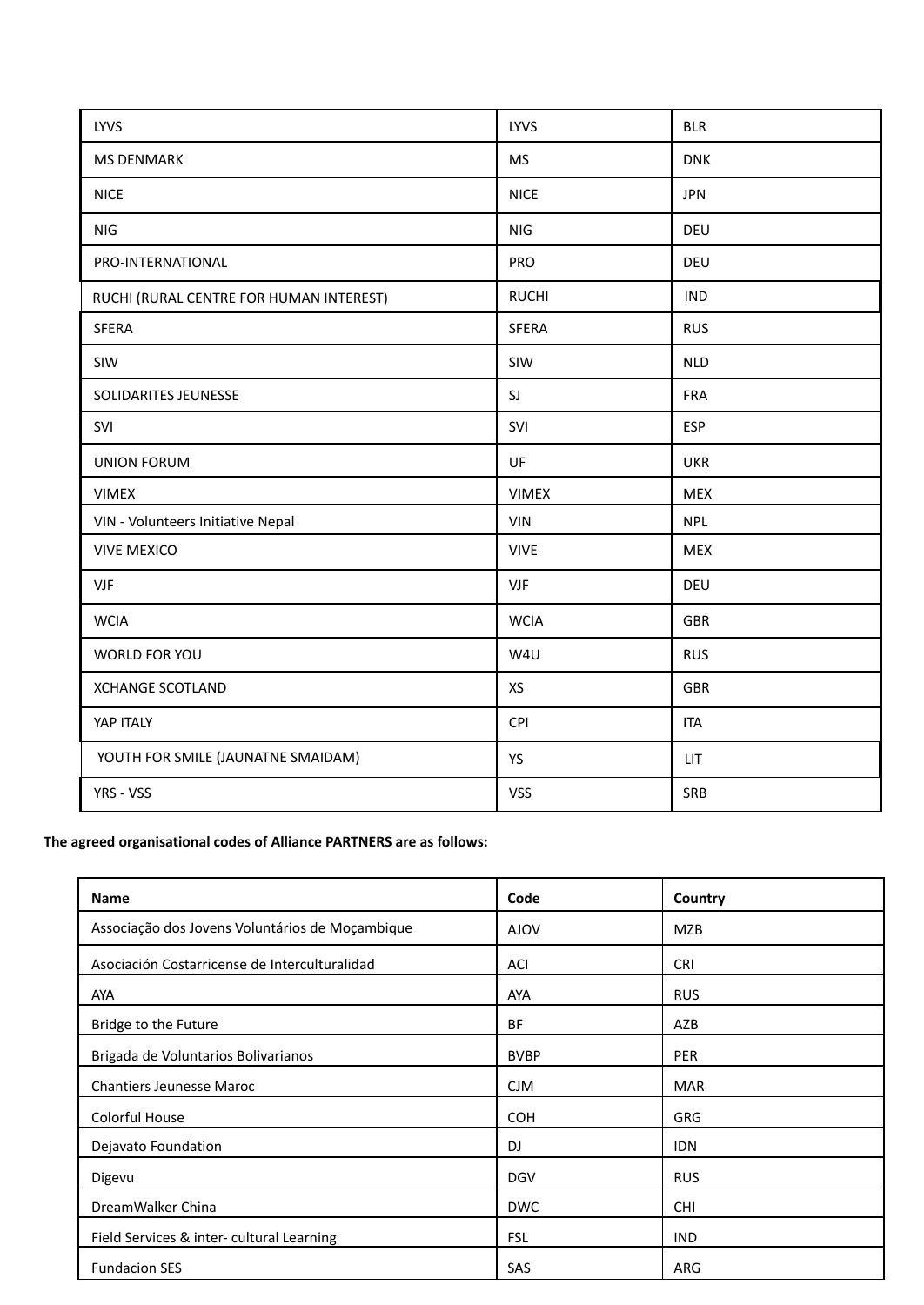| <b>LYVS</b>                             | LYVS         | <b>BLR</b> |
|-----------------------------------------|--------------|------------|
| <b>MS DENMARK</b>                       | <b>MS</b>    | <b>DNK</b> |
| <b>NICE</b>                             | <b>NICE</b>  | <b>JPN</b> |
| NIG                                     | <b>NIG</b>   | DEU        |
| PRO-INTERNATIONAL                       | PRO          | DEU        |
| RUCHI (RURAL CENTRE FOR HUMAN INTEREST) | <b>RUCHI</b> | <b>IND</b> |
| <b>SFERA</b>                            | <b>SFERA</b> | <b>RUS</b> |
| SIW                                     | SIW          | <b>NLD</b> |
| SOLIDARITES JEUNESSE                    | SJ           | <b>FRA</b> |
| SVI                                     | SVI          | <b>ESP</b> |
| <b>UNION FORUM</b>                      | UF           | <b>UKR</b> |
| <b>VIMEX</b>                            | <b>VIMEX</b> | <b>MEX</b> |
| VIN - Volunteers Initiative Nepal       | VIN          | <b>NPL</b> |
| <b>VIVE MEXICO</b>                      | <b>VIVE</b>  | <b>MEX</b> |
| <b>VJF</b>                              | <b>VJF</b>   | DEU        |
| <b>WCIA</b>                             | <b>WCIA</b>  | <b>GBR</b> |
| WORLD FOR YOU                           | W4U          | <b>RUS</b> |
| <b>XCHANGE SCOTLAND</b>                 | XS           | <b>GBR</b> |
| YAP ITALY                               | CPI          | <b>ITA</b> |
| YOUTH FOR SMILE (JAUNATNE SMAIDAM)      | YS           | LIT        |
| YRS - VSS                               | <b>VSS</b>   | SRB        |

#### **The agreed organisational codes of Alliance PARTNERS are as follows:**

| <b>Name</b>                                     | Code        | Country    |
|-------------------------------------------------|-------------|------------|
| Associação dos Jovens Voluntários de Moçambique | <b>AJOV</b> | <b>MZB</b> |
| Asociación Costarricense de Interculturalidad   | ACI         | <b>CRI</b> |
| <b>AYA</b>                                      | <b>AYA</b>  | <b>RUS</b> |
| Bridge to the Future                            | <b>BF</b>   | AZB        |
| Brigada de Voluntarios Bolivarianos             | <b>BVBP</b> | <b>PER</b> |
| <b>Chantiers Jeunesse Maroc</b>                 | <b>CJM</b>  | <b>MAR</b> |
| Colorful House                                  | <b>COH</b>  | <b>GRG</b> |
| Dejavato Foundation                             | DJ          | <b>IDN</b> |
| Digevu                                          | <b>DGV</b>  | <b>RUS</b> |
| DreamWalker China                               | <b>DWC</b>  | <b>CHI</b> |
| Field Services & inter- cultural Learning       | <b>FSL</b>  | <b>IND</b> |
| <b>Fundacion SES</b>                            | SAS         | <b>ARG</b> |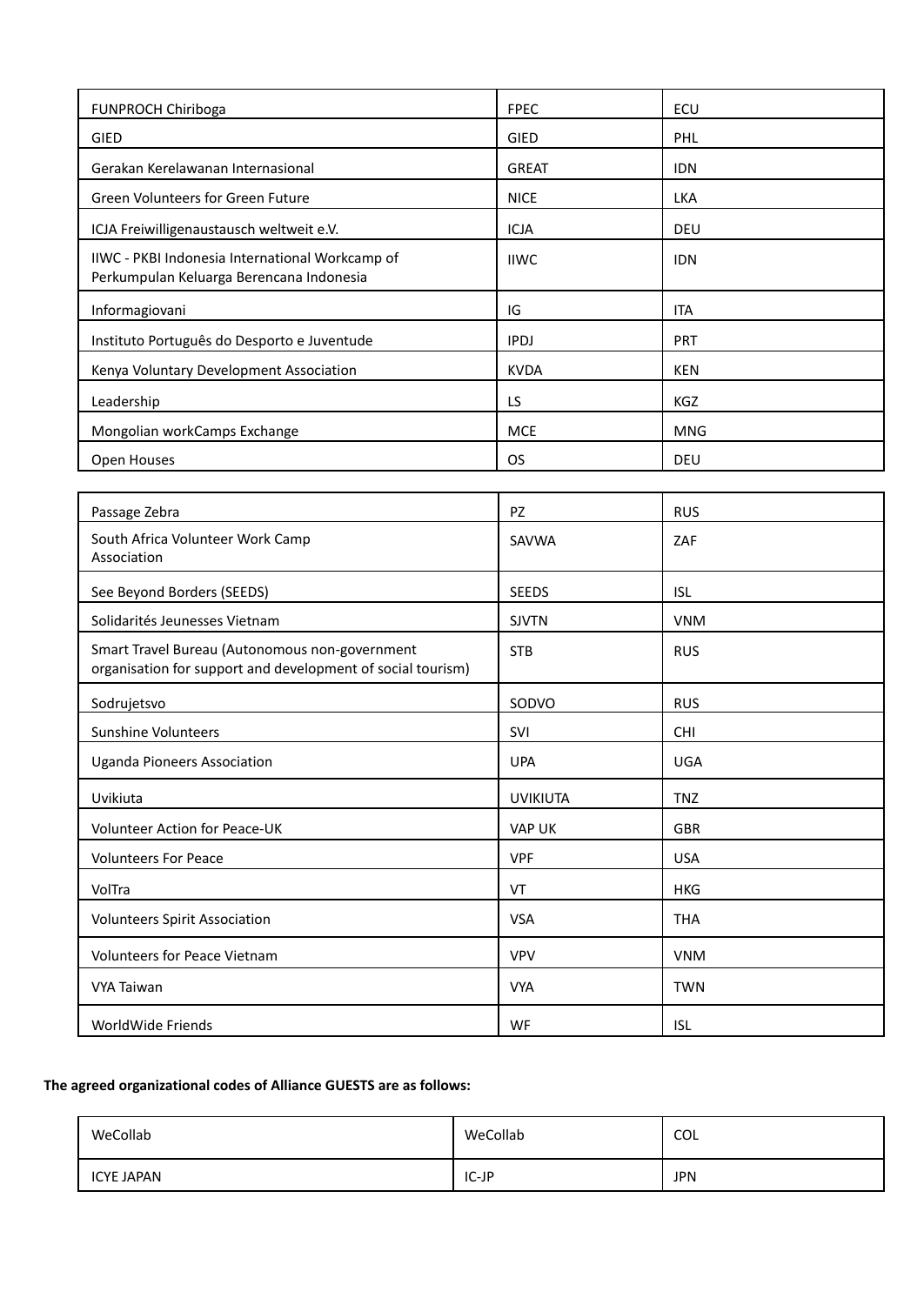| <b>FUNPROCH Chiriboga</b>                                                                   | <b>FPEC</b>  | ECU        |
|---------------------------------------------------------------------------------------------|--------------|------------|
| GIED                                                                                        | <b>GIED</b>  | PHL        |
| Gerakan Kerelawanan Internasional                                                           | <b>GREAT</b> | <b>IDN</b> |
| Green Volunteers for Green Future                                                           | <b>NICE</b>  | <b>LKA</b> |
| ICJA Freiwilligenaustausch weltweit e.V.                                                    | <b>ICJA</b>  | <b>DEU</b> |
| IIWC - PKBI Indonesia International Workcamp of<br>Perkumpulan Keluarga Berencana Indonesia | <b>IIWC</b>  | <b>IDN</b> |
| Informagiovani                                                                              | IG           | <b>ITA</b> |
| Instituto Português do Desporto e Juventude                                                 | <b>IPDJ</b>  | <b>PRT</b> |
| Kenya Voluntary Development Association                                                     | <b>KVDA</b>  | <b>KEN</b> |
| Leadership                                                                                  | LS.          | <b>KGZ</b> |
| Mongolian workCamps Exchange                                                                | <b>MCE</b>   | <b>MNG</b> |
| Open Houses                                                                                 | <b>OS</b>    | <b>DEU</b> |

| Passage Zebra                                                                                                 | PZ              | <b>RUS</b> |
|---------------------------------------------------------------------------------------------------------------|-----------------|------------|
| South Africa Volunteer Work Camp<br>Association                                                               | SAVWA           | ZAF        |
| See Beyond Borders (SEEDS)                                                                                    | <b>SEEDS</b>    | <b>ISL</b> |
| Solidarités Jeunesses Vietnam                                                                                 | <b>SJVTN</b>    | <b>VNM</b> |
| Smart Travel Bureau (Autonomous non-government<br>organisation for support and development of social tourism) | <b>STB</b>      | <b>RUS</b> |
| Sodrujetsvo                                                                                                   | SODVO           | <b>RUS</b> |
| <b>Sunshine Volunteers</b>                                                                                    | SVI             | <b>CHI</b> |
| <b>Uganda Pioneers Association</b>                                                                            | <b>UPA</b>      | <b>UGA</b> |
| Uvikiuta                                                                                                      | <b>UVIKIUTA</b> | <b>TNZ</b> |
| <b>Volunteer Action for Peace-UK</b>                                                                          | <b>VAP UK</b>   | <b>GBR</b> |
| <b>Volunteers For Peace</b>                                                                                   | <b>VPF</b>      | <b>USA</b> |
| VolTra                                                                                                        | VT              | <b>HKG</b> |
| <b>Volunteers Spirit Association</b>                                                                          | <b>VSA</b>      | <b>THA</b> |
| <b>Volunteers for Peace Vietnam</b>                                                                           | <b>VPV</b>      | <b>VNM</b> |
| VYA Taiwan                                                                                                    | <b>VYA</b>      | <b>TWN</b> |
| WorldWide Friends                                                                                             | WF              | <b>ISL</b> |

#### **The agreed organizational codes of Alliance GUESTS are as follows:**

| WeCollab          | WeCollab | <b>COL</b> |
|-------------------|----------|------------|
| <b>ICYE JAPAN</b> | IC-JP    | <b>JPN</b> |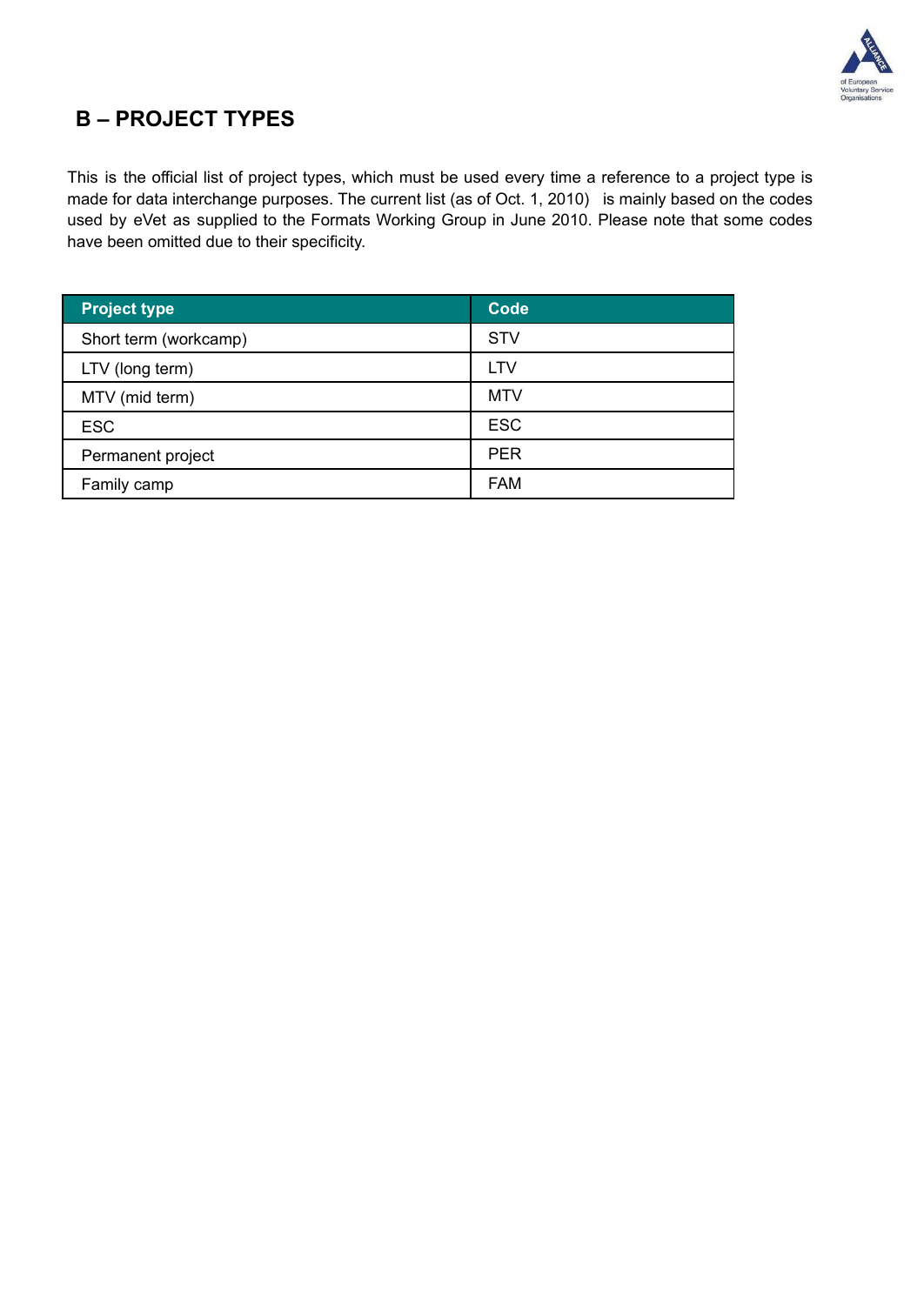

## **B – PROJECT TYPES**

This is the official list of project types, which must be used every time a reference to a project type is made for data interchange purposes. The current list (as of Oct. 1, 2010) is mainly based on the codes used by eVet as supplied to the Formats Working Group in June 2010. Please note that some codes have been omitted due to their specificity.

| <b>Project type</b>   | <b>Code</b> |
|-----------------------|-------------|
| Short term (workcamp) | <b>STV</b>  |
| LTV (long term)       | <b>LTV</b>  |
| MTV (mid term)        | <b>MTV</b>  |
| <b>ESC</b>            | <b>ESC</b>  |
| Permanent project     | <b>PER</b>  |
| Family camp           | <b>FAM</b>  |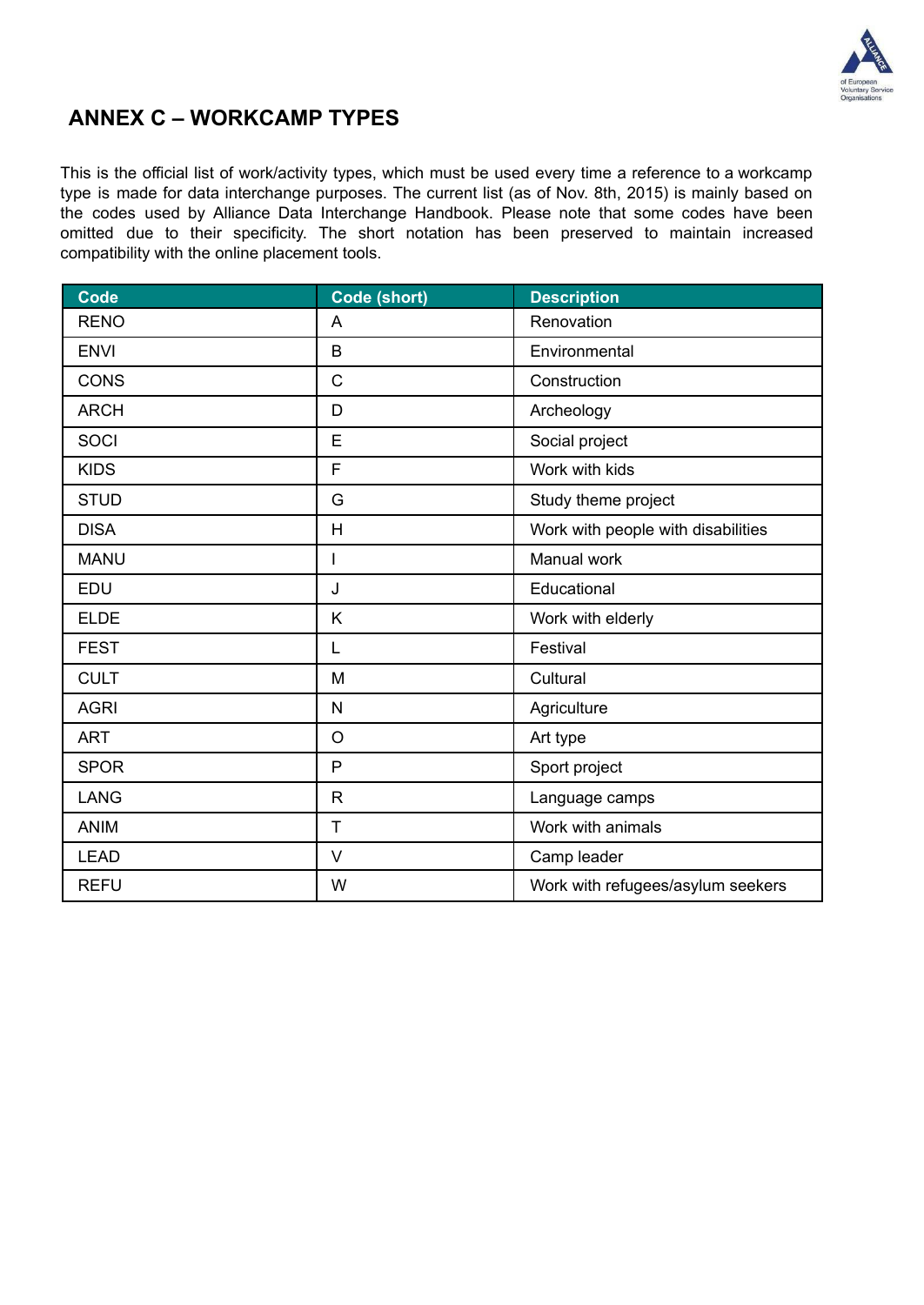

### **ANNEX C – WORKCAMP TYPES**

This is the official list of work/activity types, which must be used every time a reference to a workcamp type is made for data interchange purposes. The current list (as of Nov. 8th, 2015) is mainly based on the codes used by Alliance Data Interchange Handbook. Please note that some codes have been omitted due to their specificity. The short notation has been preserved to maintain increased compatibility with the online placement tools.

| <b>Code</b> | Code (short) | <b>Description</b>                 |
|-------------|--------------|------------------------------------|
| <b>RENO</b> | A            | Renovation                         |
| <b>ENVI</b> | B            | Environmental                      |
| <b>CONS</b> | $\mathsf{C}$ | Construction                       |
| <b>ARCH</b> | D            | Archeology                         |
| SOCI        | E            | Social project                     |
| <b>KIDS</b> | F            | Work with kids                     |
| <b>STUD</b> | G            | Study theme project                |
| <b>DISA</b> | H            | Work with people with disabilities |
| <b>MANU</b> | $\mathbf{I}$ | Manual work                        |
| EDU         | J            | Educational                        |
| <b>ELDE</b> | K            | Work with elderly                  |
| <b>FEST</b> | L            | Festival                           |
| <b>CULT</b> | M            | Cultural                           |
| <b>AGRI</b> | N            | Agriculture                        |
| <b>ART</b>  | $\circ$      | Art type                           |
| <b>SPOR</b> | P            | Sport project                      |
| <b>LANG</b> | $\mathsf{R}$ | Language camps                     |
| <b>ANIM</b> | T            | Work with animals                  |
| <b>LEAD</b> | $\vee$       | Camp leader                        |
| <b>REFU</b> | W            | Work with refugees/asylum seekers  |